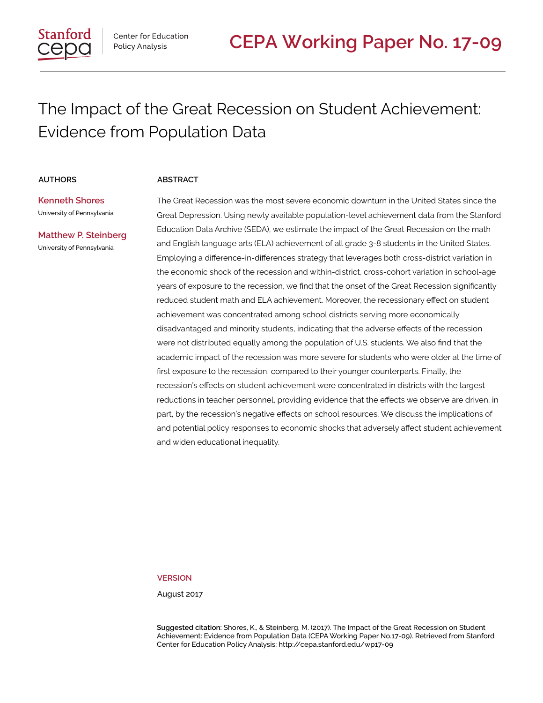# The Impact of the Great Recession on Student Achievement: Evidence from Population Data

#### **AUTHORS ABSTRACT**

**Kenneth Shores** University of Pennsylvania

**Matthew P. Steinberg** University of Pennsylvania

The Great Recession was the most severe economic downturn in the United States since the Great Depression. Using newly available population-level achievement data from the Stanford Education Data Archive (SEDA), we estimate the impact of the Great Recession on the math and English language arts (ELA) achievement of all grade 3-8 students in the United States. Employing a difference-in-differences strategy that leverages both cross-district variation in the economic shock of the recession and within-district, cross-cohort variation in school-age years of exposure to the recession, we find that the onset of the Great Recession significantly reduced student math and ELA achievement. Moreover, the recessionary effect on student achievement was concentrated among school districts serving more economically disadvantaged and minority students, indicating that the adverse effects of the recession were not distributed equally among the population of U.S. students. We also find that the academic impact of the recession was more severe for students who were older at the time of first exposure to the recession, compared to their younger counterparts. Finally, the recession's effects on student achievement were concentrated in districts with the largest reductions in teacher personnel, providing evidence that the effects we observe are driven, in part, by the recession's negative effects on school resources. We discuss the implications of and potential policy responses to economic shocks that adversely affect student achievement and widen educational inequality.

**VERSION**

August 2017

**Suggested citation:** Shores, K., & Steinberg, M. (2017). The Impact of the Great Recession on Student Achievement: Evidence from Population Data (CEPA Working Paper No.17-09). Retrieved from Stanford Center for Education Policy Analysis: http://cepa.stanford.edu/wp17-09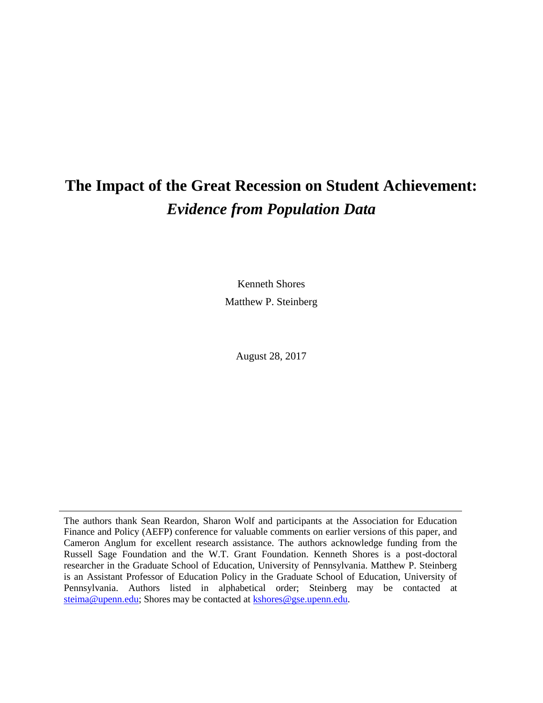# **The Impact of the Great Recession on Student Achievement:** *Evidence from Population Data*

Kenneth Shores Matthew P. Steinberg

August 28, 2017

The authors thank Sean Reardon, Sharon Wolf and participants at the Association for Education Finance and Policy (AEFP) conference for valuable comments on earlier versions of this paper, and Cameron Anglum for excellent research assistance. The authors acknowledge funding from the Russell Sage Foundation and the W.T. Grant Foundation. Kenneth Shores is a post-doctoral researcher in the Graduate School of Education, University of Pennsylvania. Matthew P. Steinberg is an Assistant Professor of Education Policy in the Graduate School of Education, University of Pennsylvania. Authors listed in alphabetical order; Steinberg may be contacted at [steima@upenn.edu;](mailto:steima@upenn.edu) Shores may be contacted at [kshores@gse.upenn.edu.](mailto:kshores@gse.upenn.edu)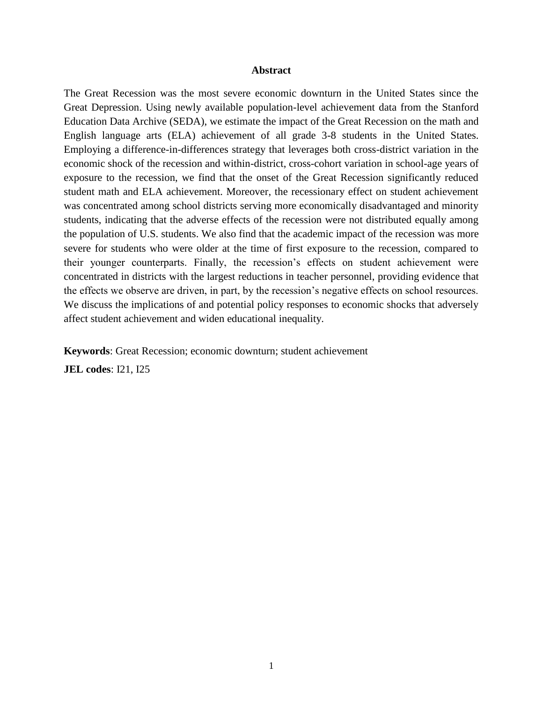#### **Abstract**

The Great Recession was the most severe economic downturn in the United States since the Great Depression. Using newly available population-level achievement data from the Stanford Education Data Archive (SEDA), we estimate the impact of the Great Recession on the math and English language arts (ELA) achievement of all grade 3-8 students in the United States. Employing a difference-in-differences strategy that leverages both cross-district variation in the economic shock of the recession and within-district, cross-cohort variation in school-age years of exposure to the recession, we find that the onset of the Great Recession significantly reduced student math and ELA achievement. Moreover, the recessionary effect on student achievement was concentrated among school districts serving more economically disadvantaged and minority students, indicating that the adverse effects of the recession were not distributed equally among the population of U.S. students. We also find that the academic impact of the recession was more severe for students who were older at the time of first exposure to the recession, compared to their younger counterparts. Finally, the recession's effects on student achievement were concentrated in districts with the largest reductions in teacher personnel, providing evidence that the effects we observe are driven, in part, by the recession's negative effects on school resources. We discuss the implications of and potential policy responses to economic shocks that adversely affect student achievement and widen educational inequality.

**Keywords**: Great Recession; economic downturn; student achievement

**JEL codes**: I21, I25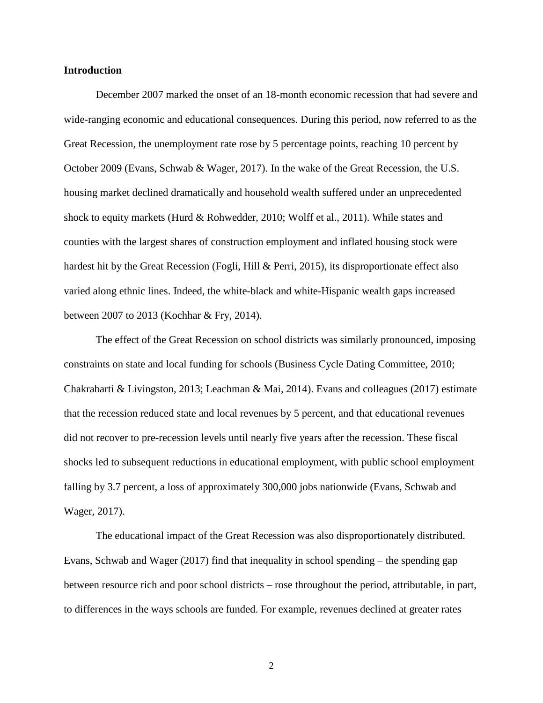#### **Introduction**

December 2007 marked the onset of an 18-month economic recession that had severe and wide-ranging economic and educational consequences. During this period, now referred to as the Great Recession, the unemployment rate rose by 5 percentage points, reaching 10 percent by October 2009 (Evans, Schwab & Wager, 2017). In the wake of the Great Recession, the U.S. housing market declined dramatically and household wealth suffered under an unprecedented shock to equity markets (Hurd & Rohwedder, 2010; Wolff et al., 2011). While states and counties with the largest shares of construction employment and inflated housing stock were hardest hit by the Great Recession (Fogli, Hill & Perri, 2015), its disproportionate effect also varied along ethnic lines. Indeed, the white-black and white-Hispanic wealth gaps increased between 2007 to 2013 (Kochhar & Fry, 2014).

The effect of the Great Recession on school districts was similarly pronounced, imposing constraints on state and local funding for schools (Business Cycle Dating Committee, 2010; Chakrabarti & Livingston, 2013; Leachman & Mai, 2014). Evans and colleagues (2017) estimate that the recession reduced state and local revenues by 5 percent, and that educational revenues did not recover to pre-recession levels until nearly five years after the recession. These fiscal shocks led to subsequent reductions in educational employment, with public school employment falling by 3.7 percent, a loss of approximately 300,000 jobs nationwide (Evans, Schwab and Wager, 2017).

The educational impact of the Great Recession was also disproportionately distributed. Evans, Schwab and Wager (2017) find that inequality in school spending – the spending gap between resource rich and poor school districts – rose throughout the period, attributable, in part, to differences in the ways schools are funded. For example, revenues declined at greater rates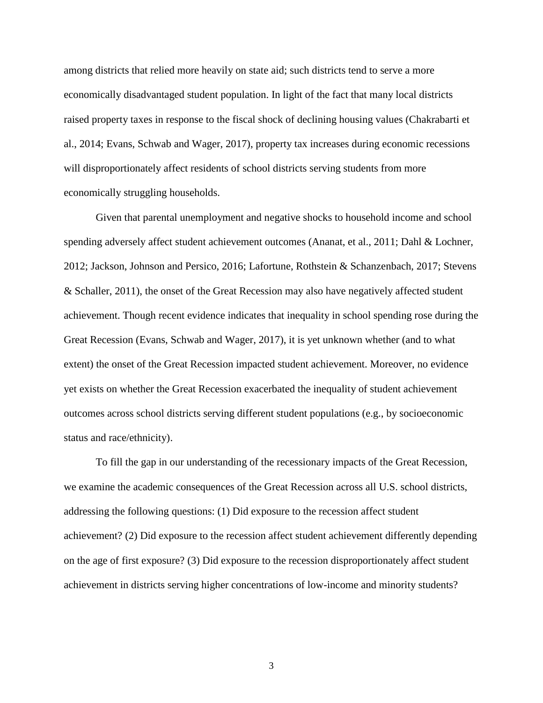among districts that relied more heavily on state aid; such districts tend to serve a more economically disadvantaged student population. In light of the fact that many local districts raised property taxes in response to the fiscal shock of declining housing values (Chakrabarti et al., 2014; Evans, Schwab and Wager, 2017), property tax increases during economic recessions will disproportionately affect residents of school districts serving students from more economically struggling households.

Given that parental unemployment and negative shocks to household income and school spending adversely affect student achievement outcomes (Ananat, et al., 2011; Dahl & Lochner, 2012; Jackson, Johnson and Persico, 2016; Lafortune, Rothstein & Schanzenbach, 2017; Stevens & Schaller, 2011), the onset of the Great Recession may also have negatively affected student achievement. Though recent evidence indicates that inequality in school spending rose during the Great Recession (Evans, Schwab and Wager, 2017), it is yet unknown whether (and to what extent) the onset of the Great Recession impacted student achievement. Moreover, no evidence yet exists on whether the Great Recession exacerbated the inequality of student achievement outcomes across school districts serving different student populations (e.g., by socioeconomic status and race/ethnicity).

To fill the gap in our understanding of the recessionary impacts of the Great Recession, we examine the academic consequences of the Great Recession across all U.S. school districts, addressing the following questions: (1) Did exposure to the recession affect student achievement? (2) Did exposure to the recession affect student achievement differently depending on the age of first exposure? (3) Did exposure to the recession disproportionately affect student achievement in districts serving higher concentrations of low-income and minority students?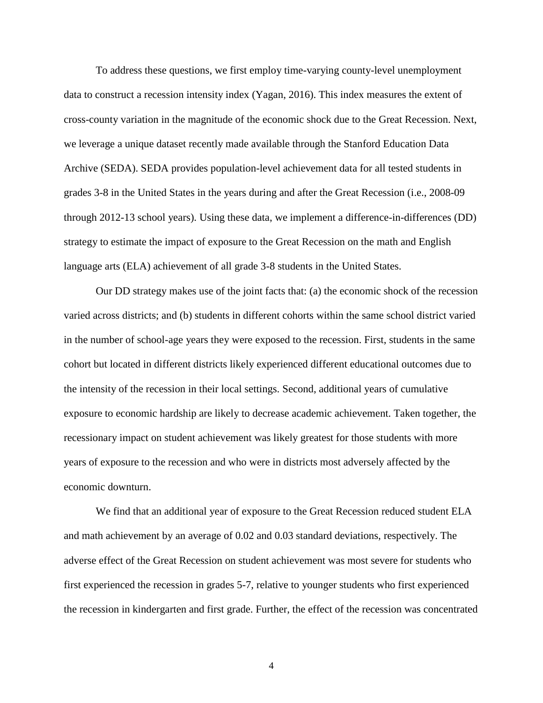To address these questions, we first employ time-varying county-level unemployment data to construct a recession intensity index (Yagan, 2016). This index measures the extent of cross-county variation in the magnitude of the economic shock due to the Great Recession. Next, we leverage a unique dataset recently made available through the Stanford Education Data Archive (SEDA). SEDA provides population-level achievement data for all tested students in grades 3-8 in the United States in the years during and after the Great Recession (i.e., 2008-09 through 2012-13 school years). Using these data, we implement a difference-in-differences (DD) strategy to estimate the impact of exposure to the Great Recession on the math and English language arts (ELA) achievement of all grade 3-8 students in the United States.

Our DD strategy makes use of the joint facts that: (a) the economic shock of the recession varied across districts; and (b) students in different cohorts within the same school district varied in the number of school-age years they were exposed to the recession. First, students in the same cohort but located in different districts likely experienced different educational outcomes due to the intensity of the recession in their local settings. Second, additional years of cumulative exposure to economic hardship are likely to decrease academic achievement. Taken together, the recessionary impact on student achievement was likely greatest for those students with more years of exposure to the recession and who were in districts most adversely affected by the economic downturn.

We find that an additional year of exposure to the Great Recession reduced student ELA and math achievement by an average of 0.02 and 0.03 standard deviations, respectively. The adverse effect of the Great Recession on student achievement was most severe for students who first experienced the recession in grades 5-7, relative to younger students who first experienced the recession in kindergarten and first grade. Further, the effect of the recession was concentrated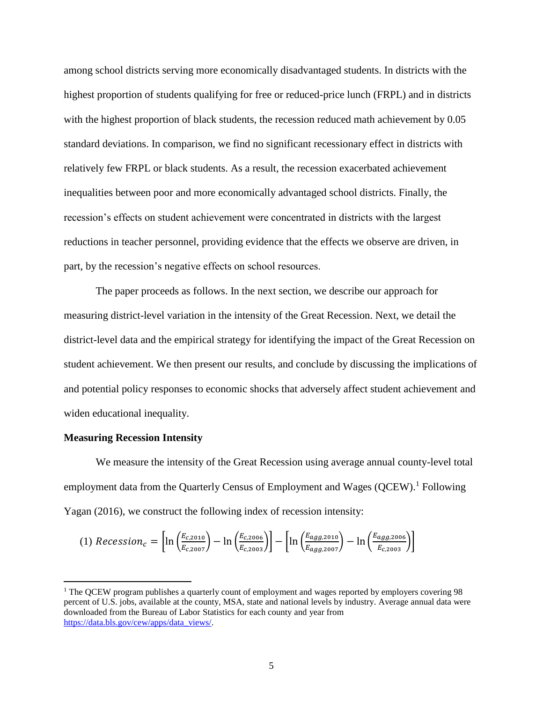among school districts serving more economically disadvantaged students. In districts with the highest proportion of students qualifying for free or reduced-price lunch (FRPL) and in districts with the highest proportion of black students, the recession reduced math achievement by 0.05 standard deviations. In comparison, we find no significant recessionary effect in districts with relatively few FRPL or black students. As a result, the recession exacerbated achievement inequalities between poor and more economically advantaged school districts. Finally, the recession's effects on student achievement were concentrated in districts with the largest reductions in teacher personnel, providing evidence that the effects we observe are driven, in part, by the recession's negative effects on school resources.

The paper proceeds as follows. In the next section, we describe our approach for measuring district-level variation in the intensity of the Great Recession. Next, we detail the district-level data and the empirical strategy for identifying the impact of the Great Recession on student achievement. We then present our results, and conclude by discussing the implications of and potential policy responses to economic shocks that adversely affect student achievement and widen educational inequality.

#### **Measuring Recession Intensity**

 $\overline{a}$ 

We measure the intensity of the Great Recession using average annual county-level total employment data from the Quarterly Census of Employment and Wages  $(QCEW)$ .<sup>1</sup> Following Yagan (2016), we construct the following index of recession intensity:

$$
(1) \text{ Recession}_c = \left[ \ln \left( \frac{E_{c,2010}}{E_{c,2007}} \right) - \ln \left( \frac{E_{c,2006}}{E_{c,2003}} \right) \right] - \left[ \ln \left( \frac{E_{agg,2010}}{E_{agg,2007}} \right) - \ln \left( \frac{E_{agg,2006}}{E_{c,2003}} \right) \right]
$$

<sup>&</sup>lt;sup>1</sup> The OCEW program publishes a quarterly count of employment and wages reported by employers covering 98 percent of U.S. jobs, available at the county, MSA, state and national levels by industry. Average annual data were downloaded from the Bureau of Labor Statistics for each county and year from [https://data.bls.gov/cew/apps/data\\_views/.](https://data.bls.gov/cew/apps/data_views/)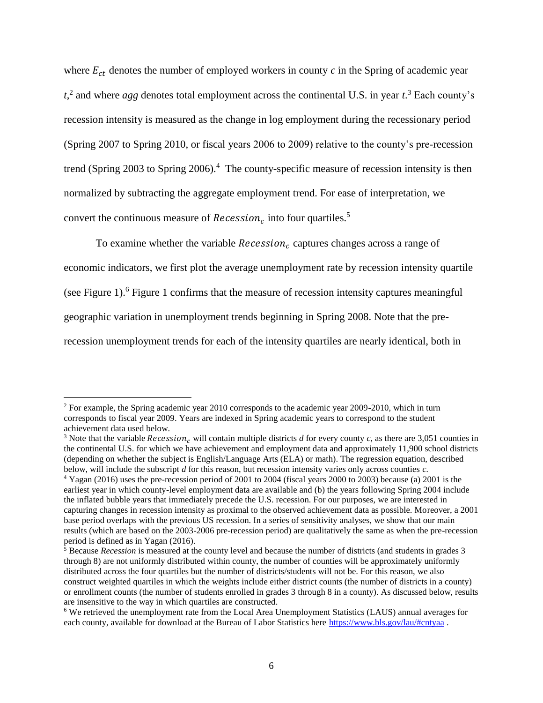where  $E_{ct}$  denotes the number of employed workers in county  $c$  in the Spring of academic year *t*, 2 and where *agg* denotes total employment across the continental U.S. in year *t*. <sup>3</sup> Each county's recession intensity is measured as the change in log employment during the recessionary period (Spring 2007 to Spring 2010, or fiscal years 2006 to 2009) relative to the county's pre-recession trend (Spring 2003 to Spring 2006).<sup>4</sup> The county-specific measure of recession intensity is then normalized by subtracting the aggregate employment trend. For ease of interpretation, we convert the continuous measure of *Recession<sub>c</sub>* into four quartiles.<sup>5</sup>

To examine whether the variable  $Recession<sub>c</sub>$  captures changes across a range of economic indicators, we first plot the average unemployment rate by recession intensity quartile (see Figure 1).<sup>6</sup> Figure 1 confirms that the measure of recession intensity captures meaningful geographic variation in unemployment trends beginning in Spring 2008. Note that the prerecession unemployment trends for each of the intensity quartiles are nearly identical, both in

 $\overline{\phantom{a}}$ 

<sup>&</sup>lt;sup>2</sup> For example, the Spring academic year 2010 corresponds to the academic year 2009-2010, which in turn corresponds to fiscal year 2009. Years are indexed in Spring academic years to correspond to the student achievement data used below.

<sup>&</sup>lt;sup>3</sup> Note that the variable *Recession<sub>c</sub>* will contain multiple districts *d* for every county *c*, as there are 3,051 counties in the continental U.S. for which we have achievement and employment data and approximately 11,900 school districts (depending on whether the subject is English/Language Arts (ELA) or math). The regression equation, described below, will include the subscript *d* for this reason, but recession intensity varies only across counties *c.* 

<sup>4</sup> Yagan (2016) uses the pre-recession period of 2001 to 2004 (fiscal years 2000 to 2003) because (a) 2001 is the earliest year in which county-level employment data are available and (b) the years following Spring 2004 include the inflated bubble years that immediately precede the U.S. recession. For our purposes, we are interested in capturing changes in recession intensity as proximal to the observed achievement data as possible. Moreover, a 2001 base period overlaps with the previous US recession. In a series of sensitivity analyses, we show that our main results (which are based on the 2003-2006 pre-recession period) are qualitatively the same as when the pre-recession period is defined as in Yagan (2016).

<sup>5</sup> Because *Recession* is measured at the county level and because the number of districts (and students in grades 3 through 8) are not uniformly distributed within county, the number of counties will be approximately uniformly distributed across the four quartiles but the number of districts/students will not be. For this reason, we also construct weighted quartiles in which the weights include either district counts (the number of districts in a county) or enrollment counts (the number of students enrolled in grades 3 through 8 in a county). As discussed below, results are insensitive to the way in which quartiles are constructed.

<sup>6</sup> We retrieved the unemployment rate from the Local Area Unemployment Statistics (LAUS) annual averages for each county, available for download at the Bureau of Labor Statistics here<https://www.bls.gov/lau/#cntyaa> .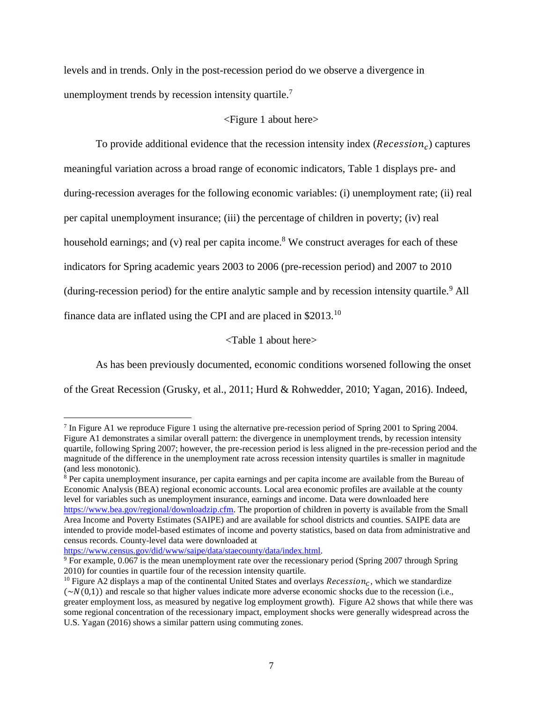levels and in trends. Only in the post-recession period do we observe a divergence in unemployment trends by recession intensity quartile.<sup>7</sup>

#### <Figure 1 about here>

To provide additional evidence that the recession intensity index ( $Recession<sub>c</sub>$ ) captures meaningful variation across a broad range of economic indicators, Table 1 displays pre- and during-recession averages for the following economic variables: (i) unemployment rate; (ii) real per capital unemployment insurance; (iii) the percentage of children in poverty; (iv) real household earnings; and (v) real per capita income.<sup>8</sup> We construct averages for each of these indicators for Spring academic years 2003 to 2006 (pre-recession period) and 2007 to 2010 (during-recession period) for the entire analytic sample and by recession intensity quartile.<sup>9</sup> All finance data are inflated using the CPI and are placed in \$2013.<sup>10</sup>

<Table 1 about here>

As has been previously documented, economic conditions worsened following the onset

of the Great Recession (Grusky, et al., 2011; Hurd & Rohwedder, 2010; Yagan, 2016). Indeed,

[https://www.census.gov/did/www/saipe/data/staecounty/data/index.html.](https://www.census.gov/did/www/saipe/data/staecounty/data/index.html)

l

<sup>&</sup>lt;sup>7</sup> In Figure A1 we reproduce Figure 1 using the alternative pre-recession period of Spring 2001 to Spring 2004. Figure A1 demonstrates a similar overall pattern: the divergence in unemployment trends, by recession intensity quartile, following Spring 2007; however, the pre-recession period is less aligned in the pre-recession period and the magnitude of the difference in the unemployment rate across recession intensity quartiles is smaller in magnitude (and less monotonic).

<sup>8</sup> Per capita unemployment insurance, per capita earnings and per capita income are available from the Bureau of Economic Analysis (BEA) regional economic accounts. Local area economic profiles are available at the county level for variables such as unemployment insurance, earnings and income. Data were downloaded here [https://www.bea.gov/regional/downloadzip.cfm.](https://www.bea.gov/regional/downloadzip.cfm) The proportion of children in poverty is available from the Small Area Income and Poverty Estimates (SAIPE) and are available for school districts and counties. SAIPE data are intended to provide model-based estimates of income and poverty statistics, based on data from administrative and census records. County-level data were downloaded at

 $9$  For example, 0.067 is the mean unemployment rate over the recessionary period (Spring 2007 through Spring 2010) for counties in quartile four of the recession intensity quartile.

<sup>&</sup>lt;sup>10</sup> Figure A2 displays a map of the continental United States and overlays *Recession<sub>c</sub>*, which we standardize  $(\sim N(0,1))$  and rescale so that higher values indicate more adverse economic shocks due to the recession (i.e., greater employment loss, as measured by negative log employment growth). Figure A2 shows that while there was some regional concentration of the recessionary impact, employment shocks were generally widespread across the U.S. Yagan (2016) shows a similar pattern using commuting zones.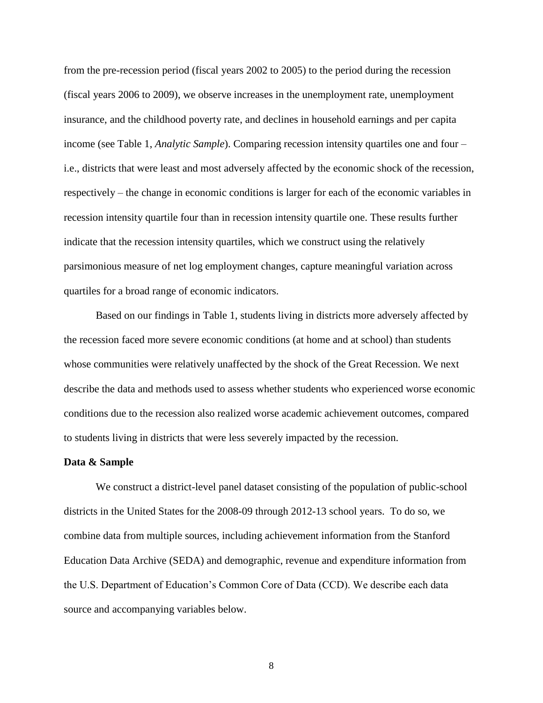from the pre-recession period (fiscal years 2002 to 2005) to the period during the recession (fiscal years 2006 to 2009), we observe increases in the unemployment rate, unemployment insurance, and the childhood poverty rate, and declines in household earnings and per capita income (see Table 1, *Analytic Sample*). Comparing recession intensity quartiles one and four – i.e., districts that were least and most adversely affected by the economic shock of the recession, respectively – the change in economic conditions is larger for each of the economic variables in recession intensity quartile four than in recession intensity quartile one. These results further indicate that the recession intensity quartiles, which we construct using the relatively parsimonious measure of net log employment changes, capture meaningful variation across quartiles for a broad range of economic indicators.

Based on our findings in Table 1, students living in districts more adversely affected by the recession faced more severe economic conditions (at home and at school) than students whose communities were relatively unaffected by the shock of the Great Recession. We next describe the data and methods used to assess whether students who experienced worse economic conditions due to the recession also realized worse academic achievement outcomes, compared to students living in districts that were less severely impacted by the recession.

#### **Data & Sample**

We construct a district-level panel dataset consisting of the population of public-school districts in the United States for the 2008-09 through 2012-13 school years. To do so, we combine data from multiple sources, including achievement information from the Stanford Education Data Archive (SEDA) and demographic, revenue and expenditure information from the U.S. Department of Education's Common Core of Data (CCD). We describe each data source and accompanying variables below.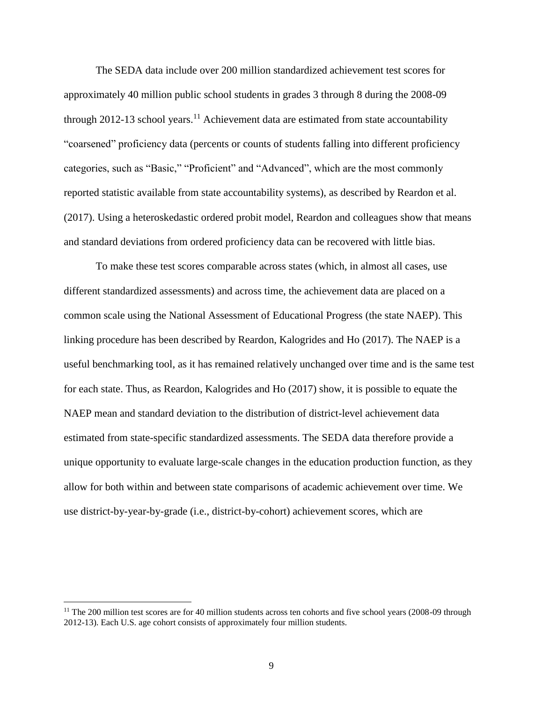The SEDA data include over 200 million standardized achievement test scores for approximately 40 million public school students in grades 3 through 8 during the 2008-09 through 2012-13 school years.<sup>11</sup> Achievement data are estimated from state accountability "coarsened" proficiency data (percents or counts of students falling into different proficiency categories, such as "Basic," "Proficient" and "Advanced", which are the most commonly reported statistic available from state accountability systems), as described by Reardon et al. (2017). Using a heteroskedastic ordered probit model, Reardon and colleagues show that means and standard deviations from ordered proficiency data can be recovered with little bias.

To make these test scores comparable across states (which, in almost all cases, use different standardized assessments) and across time, the achievement data are placed on a common scale using the National Assessment of Educational Progress (the state NAEP). This linking procedure has been described by Reardon, Kalogrides and Ho (2017). The NAEP is a useful benchmarking tool, as it has remained relatively unchanged over time and is the same test for each state. Thus, as Reardon, Kalogrides and Ho (2017) show, it is possible to equate the NAEP mean and standard deviation to the distribution of district-level achievement data estimated from state-specific standardized assessments. The SEDA data therefore provide a unique opportunity to evaluate large-scale changes in the education production function, as they allow for both within and between state comparisons of academic achievement over time. We use district-by-year-by-grade (i.e., district-by-cohort) achievement scores, which are

l

 $11$  The 200 million test scores are for 40 million students across ten cohorts and five school years (2008-09 through 2012-13). Each U.S. age cohort consists of approximately four million students.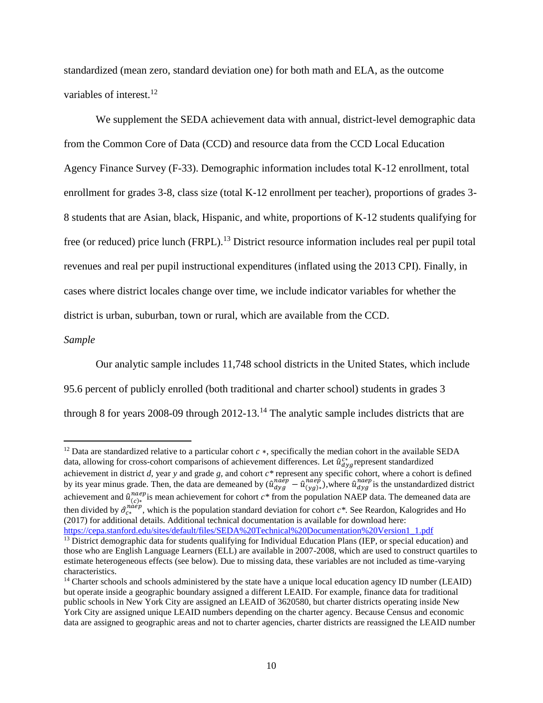standardized (mean zero, standard deviation one) for both math and ELA, as the outcome variables of interest. $12$ 

We supplement the SEDA achievement data with annual, district-level demographic data from the Common Core of Data (CCD) and resource data from the CCD Local Education Agency Finance Survey (F-33). Demographic information includes total K-12 enrollment, total enrollment for grades 3-8, class size (total K-12 enrollment per teacher), proportions of grades 3- 8 students that are Asian, black, Hispanic, and white, proportions of K-12 students qualifying for free (or reduced) price lunch (FRPL).<sup>13</sup> District resource information includes real per pupil total revenues and real per pupil instructional expenditures (inflated using the 2013 CPI). Finally, in cases where district locales change over time, we include indicator variables for whether the district is urban, suburban, town or rural, which are available from the CCD.

#### *Sample*

 $\overline{\phantom{a}}$ 

Our analytic sample includes 11,748 school districts in the United States, which include 95.6 percent of publicly enrolled (both traditional and charter school) students in grades 3 through 8 for years 2008-09 through 2012-13.<sup>14</sup> The analytic sample includes districts that are

<sup>&</sup>lt;sup>12</sup> Data are standardized relative to a particular cohort  $c$  \*, specifically the median cohort in the available SEDA data, allowing for cross-cohort comparisons of achievement differences. Let  $\hat{u}_{dyg}^{c*}$  represent standardized achievement in district *d,* year *y* and grade *g,* and cohort *c\** represent any specific cohort, where a cohort is defined by its year minus grade. Then, the data are demeaned by  $(\hat{u}_{dyg}^{na\hat{e}p} - \hat{u}_{(yg)^*}^{na\hat{e}p})$ , where  $\hat{u}_{dyg}^{naep}$  is the unstandardized district achievement and  $\hat{u}_{(c)*}^{naep}$  is mean achievement for cohort  $c*$  from the population NAEP data. The demeaned data are then divided by  $\hat{\sigma}_{c*}^{na\acute{e}p}$ , which is the population standard deviation for cohort  $c*$ . See Reardon, Kalogrides and Ho (2017) for additional details. Additional technical documentation is available for download here: [https://cepa.stanford.edu/sites/default/files/SEDA%20Technical%20Documentation%20Version1\\_1.pdf](https://cepa.stanford.edu/sites/default/files/SEDA%20Technical%20Documentation%20Version1_1.pdf)

<sup>&</sup>lt;sup>13</sup> District demographic data for students qualifying for Individual Education Plans (IEP, or special education) and those who are English Language Learners (ELL) are available in 2007-2008, which are used to construct quartiles to estimate heterogeneous effects (see below). Due to missing data, these variables are not included as time-varying characteristics.

<sup>&</sup>lt;sup>14</sup> Charter schools and schools administered by the state have a unique local education agency ID number (LEAID) but operate inside a geographic boundary assigned a different LEAID. For example, finance data for traditional public schools in New York City are assigned an LEAID of 3620580, but charter districts operating inside New York City are assigned unique LEAID numbers depending on the charter agency. Because Census and economic data are assigned to geographic areas and not to charter agencies, charter districts are reassigned the LEAID number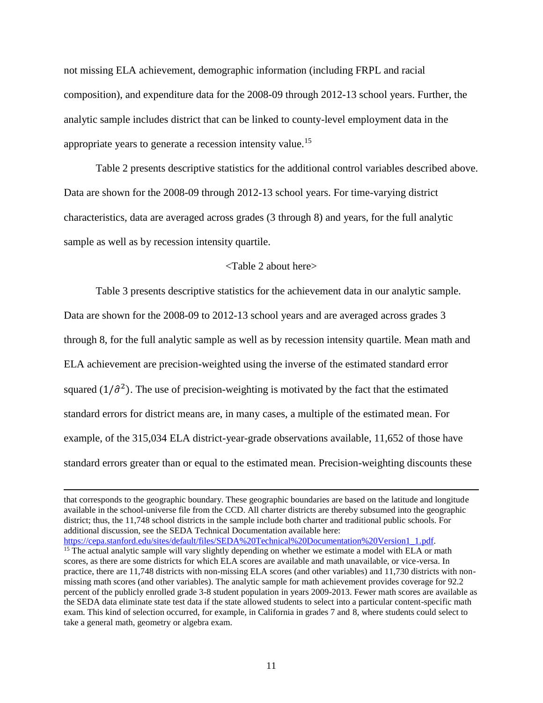not missing ELA achievement, demographic information (including FRPL and racial composition), and expenditure data for the 2008-09 through 2012-13 school years. Further, the analytic sample includes district that can be linked to county-level employment data in the appropriate years to generate a recession intensity value.<sup>15</sup>

Table 2 presents descriptive statistics for the additional control variables described above. Data are shown for the 2008-09 through 2012-13 school years. For time-varying district characteristics, data are averaged across grades (3 through 8) and years, for the full analytic sample as well as by recession intensity quartile.

#### <Table 2 about here>

Table 3 presents descriptive statistics for the achievement data in our analytic sample. Data are shown for the 2008-09 to 2012-13 school years and are averaged across grades 3 through 8, for the full analytic sample as well as by recession intensity quartile. Mean math and ELA achievement are precision-weighted using the inverse of the estimated standard error squared  $(1/\hat{\sigma}^2)$ . The use of precision-weighting is motivated by the fact that the estimated standard errors for district means are, in many cases, a multiple of the estimated mean. For example, of the 315,034 ELA district-year-grade observations available, 11,652 of those have standard errors greater than or equal to the estimated mean. Precision-weighting discounts these

 $\overline{\phantom{a}}$ 

that corresponds to the geographic boundary. These geographic boundaries are based on the latitude and longitude available in the school-universe file from the CCD. All charter districts are thereby subsumed into the geographic district; thus, the 11,748 school districts in the sample include both charter and traditional public schools. For additional discussion, see the SEDA Technical Documentation available here:

[https://cepa.stanford.edu/sites/default/files/SEDA%20Technical%20Documentation%20Version1\\_1.pdf.](https://cepa.stanford.edu/sites/default/files/SEDA%20Technical%20Documentation%20Version1_1.pdf)

<sup>&</sup>lt;sup>15</sup> The actual analytic sample will vary slightly depending on whether we estimate a model with ELA or math scores, as there are some districts for which ELA scores are available and math unavailable, or vice-versa. In practice, there are 11,748 districts with non-missing ELA scores (and other variables) and 11,730 districts with nonmissing math scores (and other variables). The analytic sample for math achievement provides coverage for 92.2 percent of the publicly enrolled grade 3-8 student population in years 2009-2013. Fewer math scores are available as the SEDA data eliminate state test data if the state allowed students to select into a particular content-specific math exam. This kind of selection occurred, for example, in California in grades 7 and 8, where students could select to take a general math, geometry or algebra exam.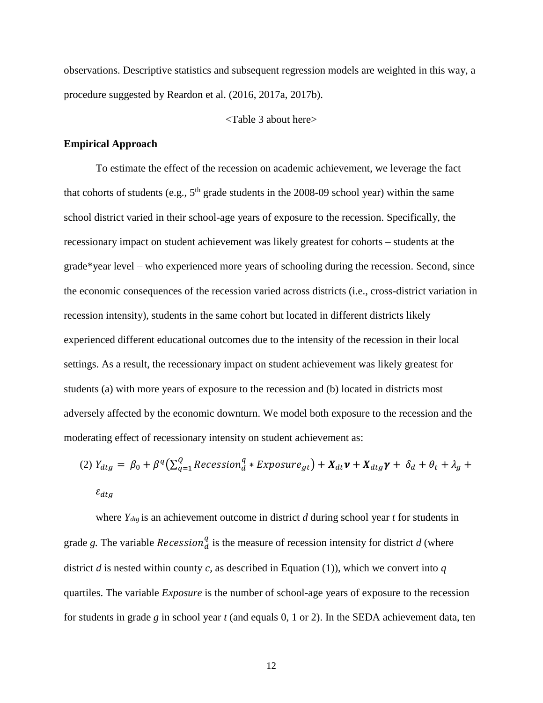observations. Descriptive statistics and subsequent regression models are weighted in this way, a procedure suggested by Reardon et al. (2016, 2017a, 2017b).

<Table 3 about here>

#### **Empirical Approach**

To estimate the effect of the recession on academic achievement, we leverage the fact that cohorts of students (e.g.,  $5<sup>th</sup>$  grade students in the 2008-09 school year) within the same school district varied in their school-age years of exposure to the recession. Specifically, the recessionary impact on student achievement was likely greatest for cohorts – students at the grade\*year level – who experienced more years of schooling during the recession. Second, since the economic consequences of the recession varied across districts (i.e., cross-district variation in recession intensity), students in the same cohort but located in different districts likely experienced different educational outcomes due to the intensity of the recession in their local settings. As a result, the recessionary impact on student achievement was likely greatest for students (a) with more years of exposure to the recession and (b) located in districts most adversely affected by the economic downturn. We model both exposure to the recession and the moderating effect of recessionary intensity on student achievement as:

(2) 
$$
Y_{dtg} = \beta_0 + \beta^q \left( \sum_{q=1}^Q Recession_d^q * Exposure_{gt} \right) + X_{dt} \mathbf{v} + X_{dtg} \mathbf{y} + \delta_d + \theta_t + \lambda_g + \epsilon_{dtg}
$$
  
 $\epsilon_{dtg}$ 

where *Ydtg* is an achievement outcome in district *d* during school year *t* for students in grade g. The variable *Recession*<sup>*q*</sup> is the measure of recession intensity for district *d* (where district *d* is nested within county *c*, as described in Equation (1)), which we convert into *q* quartiles. The variable *Exposure* is the number of school-age years of exposure to the recession for students in grade *g* in school year *t* (and equals 0, 1 or 2). In the SEDA achievement data, ten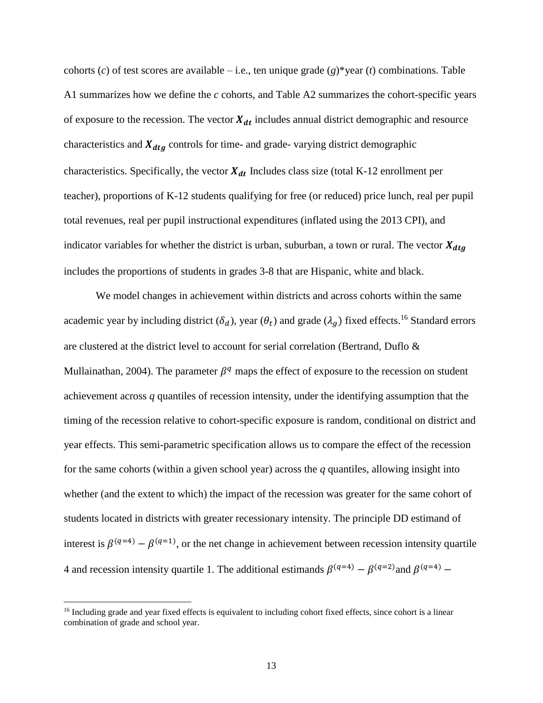cohorts (*c*) of test scores are available – i.e., ten unique grade (*g*)\*year (*t*) combinations. Table A1 summarizes how we define the *c* cohorts, and Table A2 summarizes the cohort-specific years of exposure to the recession. The vector  $X_{dt}$  includes annual district demographic and resource characteristics and  $X_{dtg}$  controls for time- and grade- varying district demographic characteristics. Specifically, the vector  $X_{dt}$  Includes class size (total K-12 enrollment per teacher), proportions of K-12 students qualifying for free (or reduced) price lunch, real per pupil total revenues, real per pupil instructional expenditures (inflated using the 2013 CPI), and indicator variables for whether the district is urban, suburban, a town or rural. The vector  $X_{dtg}$ includes the proportions of students in grades 3-8 that are Hispanic, white and black.

We model changes in achievement within districts and across cohorts within the same academic year by including district  $(\delta_d)$ , year  $(\theta_t)$  and grade  $(\lambda_g)$  fixed effects.<sup>16</sup> Standard errors are clustered at the district level to account for serial correlation (Bertrand, Duflo & Mullainathan, 2004). The parameter  $\beta^q$  maps the effect of exposure to the recession on student achievement across *q* quantiles of recession intensity, under the identifying assumption that the timing of the recession relative to cohort-specific exposure is random, conditional on district and year effects. This semi-parametric specification allows us to compare the effect of the recession for the same cohorts (within a given school year) across the  $q$  quantiles, allowing insight into whether (and the extent to which) the impact of the recession was greater for the same cohort of students located in districts with greater recessionary intensity. The principle DD estimand of interest is  $\beta^{(q=4)} - \beta^{(q=1)}$ , or the net change in achievement between recession intensity quartile 4 and recession intensity quartile 1. The additional estimands  $\beta^{(q=4)} - \beta^{(q=2)}$  and  $\beta^{(q=4)} -$ 

l

<sup>&</sup>lt;sup>16</sup> Including grade and year fixed effects is equivalent to including cohort fixed effects, since cohort is a linear combination of grade and school year.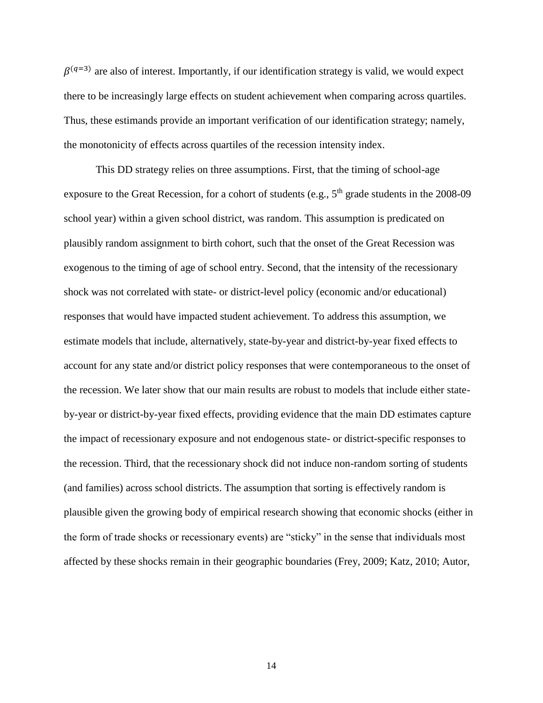$\beta^{(q=3)}$  are also of interest. Importantly, if our identification strategy is valid, we would expect there to be increasingly large effects on student achievement when comparing across quartiles. Thus, these estimands provide an important verification of our identification strategy; namely, the monotonicity of effects across quartiles of the recession intensity index.

This DD strategy relies on three assumptions. First, that the timing of school-age exposure to the Great Recession, for a cohort of students (e.g., 5<sup>th</sup> grade students in the 2008-09 school year) within a given school district, was random. This assumption is predicated on plausibly random assignment to birth cohort, such that the onset of the Great Recession was exogenous to the timing of age of school entry. Second, that the intensity of the recessionary shock was not correlated with state- or district-level policy (economic and/or educational) responses that would have impacted student achievement. To address this assumption, we estimate models that include, alternatively, state-by-year and district-by-year fixed effects to account for any state and/or district policy responses that were contemporaneous to the onset of the recession. We later show that our main results are robust to models that include either stateby-year or district-by-year fixed effects, providing evidence that the main DD estimates capture the impact of recessionary exposure and not endogenous state- or district-specific responses to the recession. Third, that the recessionary shock did not induce non-random sorting of students (and families) across school districts. The assumption that sorting is effectively random is plausible given the growing body of empirical research showing that economic shocks (either in the form of trade shocks or recessionary events) are "sticky" in the sense that individuals most affected by these shocks remain in their geographic boundaries (Frey, 2009; Katz, 2010; Autor,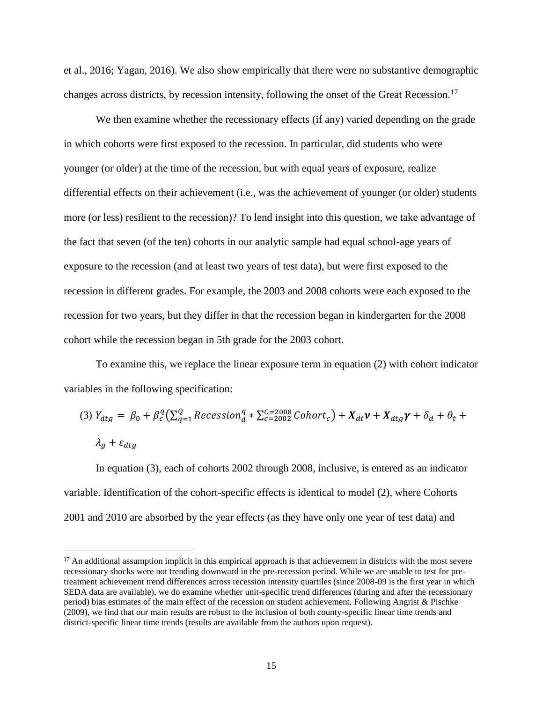et al., 2016; Yagan, 2016). We also show empirically that there were no substantive demographic changes across districts, by recession intensity, following the onset of the Great Recession.<sup>17</sup>

We then examine whether the recessionary effects (if any) varied depending on the grade in which cohorts were first exposed to the recession. In particular, did students who were younger (or older) at the time of the recession, but with equal years of exposure, realize differential effects on their achievement (i.e., was the achievement of younger (or older) students more (or less) resilient to the recession)? To lend insight into this question, we take advantage of the fact that seven (of the ten) cohorts in our analytic sample had equal school-age years of exposure to the recession (and at least two years of test data), but were first exposed to the recession in different grades. For example, the 2003 and 2008 cohorts were each exposed to the recession for two years, but they differ in that the recession began in kindergarten for the 2008 cohort while the recession began in 5th grade for the 2003 cohort.

To examine this, we replace the linear exposure term in equation (2) with cohort indicator variables in the following specification:

(3) 
$$
Y_{dtg} = \beta_0 + \beta_c^q \left( \sum_{q=1}^Q Recession_d^q * \sum_{c=2002}^{C=2008} Cohort_c \right) + X_{dt}\mathbf{v} + X_{dtg}\mathbf{y} + \delta_d + \theta_t + \lambda_g + \epsilon_{dtg}
$$
  
 $\lambda_g + \epsilon_{dtg}$ 

In equation (3), each of cohorts 2002 through 2008, inclusive, is entered as an indicator variable. Identification of the cohort-specific effects is identical to model (2), where Cohorts 2001 and 2010 are absorbed by the year effects (as they have only one year of test data) and

 $\overline{a}$ 

 $17$  An additional assumption implicit in this empirical approach is that achievement in districts with the most severe recessionary shocks were not trending downward in the pre-recession period. While we are unable to test for pretreatment achievement trend differences across recession intensity quartiles (since 2008-09 is the first year in which SEDA data are available), we do examine whether unit-specific trend differences (during and after the recessionary period) bias estimates of the main effect of the recession on student achievement. Following Angrist & Pischke (2009), we find that our main results are robust to the inclusion of both county-specific linear time trends and district-specific linear time trends (results are available from the authors upon request).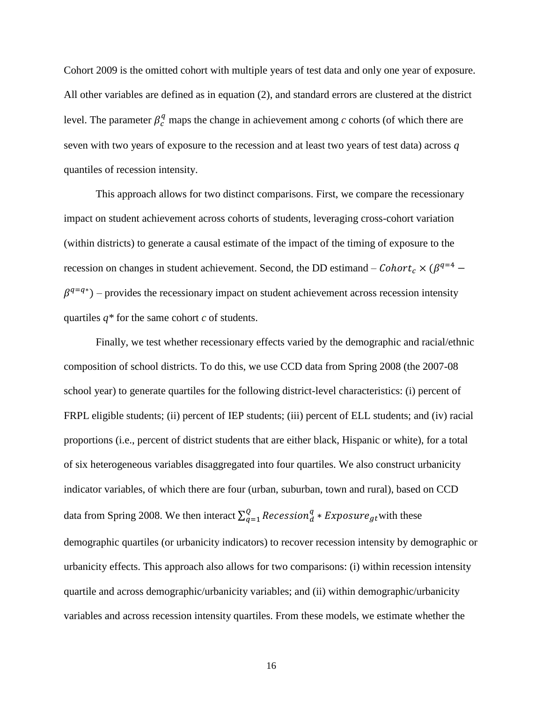Cohort 2009 is the omitted cohort with multiple years of test data and only one year of exposure. All other variables are defined as in equation (2), and standard errors are clustered at the district level. The parameter  $\beta_c^q$  maps the change in achievement among *c* cohorts (of which there are seven with two years of exposure to the recession and at least two years of test data) across *q* quantiles of recession intensity.

This approach allows for two distinct comparisons. First, we compare the recessionary impact on student achievement across cohorts of students, leveraging cross-cohort variation (within districts) to generate a causal estimate of the impact of the timing of exposure to the recession on changes in student achievement. Second, the DD estimand –  $Cohort_c \times (\beta^{q=4}$  –  $\beta^{q=q*}$ ) – provides the recessionary impact on student achievement across recession intensity quartiles *q\** for the same cohort *c* of students.

Finally, we test whether recessionary effects varied by the demographic and racial/ethnic composition of school districts. To do this, we use CCD data from Spring 2008 (the 2007-08 school year) to generate quartiles for the following district-level characteristics: (i) percent of FRPL eligible students; (ii) percent of IEP students; (iii) percent of ELL students; and (iv) racial proportions (i.e., percent of district students that are either black, Hispanic or white), for a total of six heterogeneous variables disaggregated into four quartiles. We also construct urbanicity indicator variables, of which there are four (urban, suburban, town and rural), based on CCD data from Spring 2008. We then interact  $\sum_{q=1}^{Q} Recession_q^q * Exposure_{gt}$  with these demographic quartiles (or urbanicity indicators) to recover recession intensity by demographic or urbanicity effects. This approach also allows for two comparisons: (i) within recession intensity quartile and across demographic/urbanicity variables; and (ii) within demographic/urbanicity variables and across recession intensity quartiles. From these models, we estimate whether the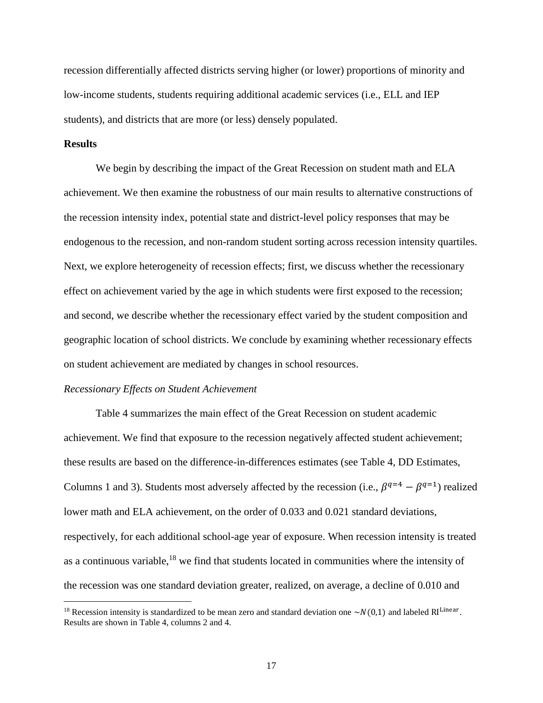recession differentially affected districts serving higher (or lower) proportions of minority and low-income students, students requiring additional academic services (i.e., ELL and IEP students), and districts that are more (or less) densely populated.

#### **Results**

 $\overline{\phantom{a}}$ 

We begin by describing the impact of the Great Recession on student math and ELA achievement. We then examine the robustness of our main results to alternative constructions of the recession intensity index, potential state and district-level policy responses that may be endogenous to the recession, and non-random student sorting across recession intensity quartiles. Next, we explore heterogeneity of recession effects; first, we discuss whether the recessionary effect on achievement varied by the age in which students were first exposed to the recession; and second, we describe whether the recessionary effect varied by the student composition and geographic location of school districts. We conclude by examining whether recessionary effects on student achievement are mediated by changes in school resources.

#### *Recessionary Effects on Student Achievement*

Table 4 summarizes the main effect of the Great Recession on student academic achievement. We find that exposure to the recession negatively affected student achievement; these results are based on the difference-in-differences estimates (see Table 4, DD Estimates, Columns 1 and 3). Students most adversely affected by the recession (i.e.,  $\beta^{q=4} - \beta^{q=1}$ ) realized lower math and ELA achievement, on the order of 0.033 and 0.021 standard deviations, respectively, for each additional school-age year of exposure. When recession intensity is treated as a continuous variable, $18$  we find that students located in communities where the intensity of the recession was one standard deviation greater, realized, on average, a decline of 0.010 and

<sup>&</sup>lt;sup>18</sup> Recession intensity is standardized to be mean zero and standard deviation one  $\sim N(0,1)$  and labeled RI<sup>Linear</sup>. Results are shown in Table 4, columns 2 and 4.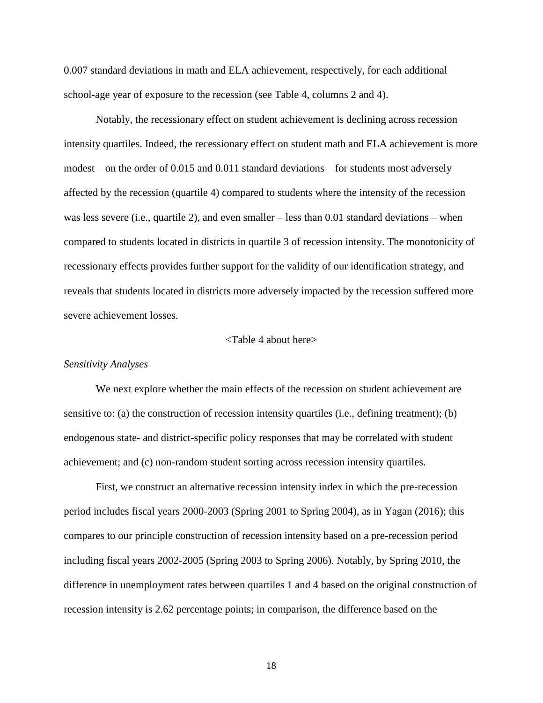0.007 standard deviations in math and ELA achievement, respectively, for each additional school-age year of exposure to the recession (see Table 4, columns 2 and 4).

Notably, the recessionary effect on student achievement is declining across recession intensity quartiles. Indeed, the recessionary effect on student math and ELA achievement is more modest – on the order of 0.015 and 0.011 standard deviations – for students most adversely affected by the recession (quartile 4) compared to students where the intensity of the recession was less severe (i.e., quartile 2), and even smaller – less than 0.01 standard deviations – when compared to students located in districts in quartile 3 of recession intensity. The monotonicity of recessionary effects provides further support for the validity of our identification strategy, and reveals that students located in districts more adversely impacted by the recession suffered more severe achievement losses.

#### <Table 4 about here>

#### *Sensitivity Analyses*

We next explore whether the main effects of the recession on student achievement are sensitive to: (a) the construction of recession intensity quartiles (i.e., defining treatment); (b) endogenous state- and district-specific policy responses that may be correlated with student achievement; and (c) non-random student sorting across recession intensity quartiles.

First, we construct an alternative recession intensity index in which the pre-recession period includes fiscal years 2000-2003 (Spring 2001 to Spring 2004), as in Yagan (2016); this compares to our principle construction of recession intensity based on a pre-recession period including fiscal years 2002-2005 (Spring 2003 to Spring 2006). Notably, by Spring 2010, the difference in unemployment rates between quartiles 1 and 4 based on the original construction of recession intensity is 2.62 percentage points; in comparison, the difference based on the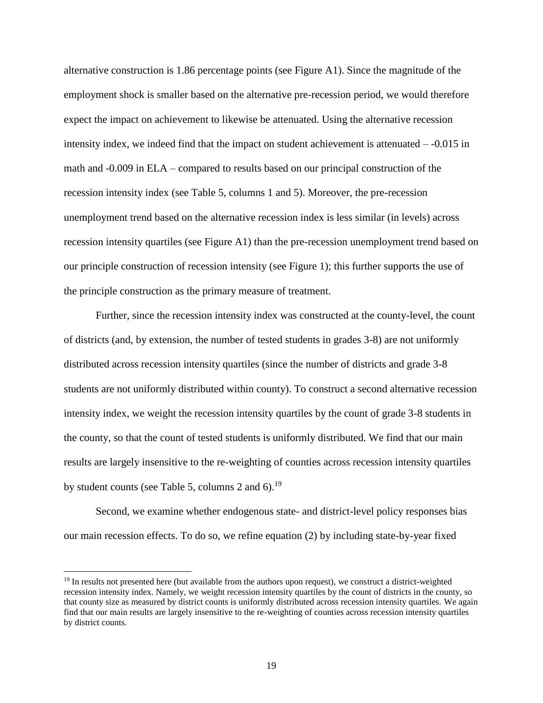alternative construction is 1.86 percentage points (see Figure A1). Since the magnitude of the employment shock is smaller based on the alternative pre-recession period, we would therefore expect the impact on achievement to likewise be attenuated. Using the alternative recession intensity index, we indeed find that the impact on student achievement is attenuated – -0.015 in math and -0.009 in ELA – compared to results based on our principal construction of the recession intensity index (see Table 5, columns 1 and 5). Moreover, the pre-recession unemployment trend based on the alternative recession index is less similar (in levels) across recession intensity quartiles (see Figure A1) than the pre-recession unemployment trend based on our principle construction of recession intensity (see Figure 1); this further supports the use of the principle construction as the primary measure of treatment.

Further, since the recession intensity index was constructed at the county-level, the count of districts (and, by extension, the number of tested students in grades 3-8) are not uniformly distributed across recession intensity quartiles (since the number of districts and grade 3-8 students are not uniformly distributed within county). To construct a second alternative recession intensity index, we weight the recession intensity quartiles by the count of grade 3-8 students in the county, so that the count of tested students is uniformly distributed. We find that our main results are largely insensitive to the re-weighting of counties across recession intensity quartiles by student counts (see Table 5, columns 2 and  $6$ ).<sup>19</sup>

Second, we examine whether endogenous state- and district-level policy responses bias our main recession effects. To do so, we refine equation (2) by including state-by-year fixed

 $\overline{\phantom{a}}$ 

<sup>&</sup>lt;sup>19</sup> In results not presented here (but available from the authors upon request), we construct a district-weighted recession intensity index. Namely, we weight recession intensity quartiles by the count of districts in the county, so that county size as measured by district counts is uniformly distributed across recession intensity quartiles. We again find that our main results are largely insensitive to the re-weighting of counties across recession intensity quartiles by district counts.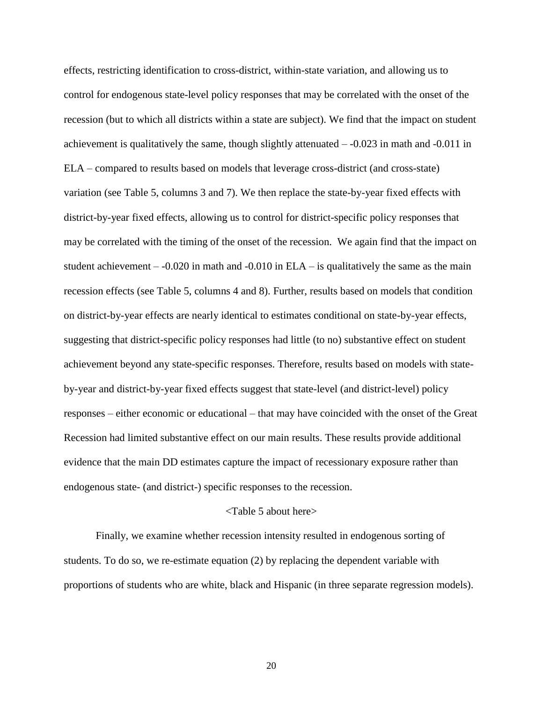effects, restricting identification to cross-district, within-state variation, and allowing us to control for endogenous state-level policy responses that may be correlated with the onset of the recession (but to which all districts within a state are subject). We find that the impact on student achievement is qualitatively the same, though slightly attenuated  $-0.023$  in math and  $-0.011$  in ELA – compared to results based on models that leverage cross-district (and cross-state) variation (see Table 5, columns 3 and 7). We then replace the state-by-year fixed effects with district-by-year fixed effects, allowing us to control for district-specific policy responses that may be correlated with the timing of the onset of the recession. We again find that the impact on student achievement  $-0.020$  in math and  $-0.010$  in ELA – is qualitatively the same as the main recession effects (see Table 5, columns 4 and 8). Further, results based on models that condition on district-by-year effects are nearly identical to estimates conditional on state-by-year effects, suggesting that district-specific policy responses had little (to no) substantive effect on student achievement beyond any state-specific responses. Therefore, results based on models with stateby-year and district-by-year fixed effects suggest that state-level (and district-level) policy responses – either economic or educational – that may have coincided with the onset of the Great Recession had limited substantive effect on our main results. These results provide additional evidence that the main DD estimates capture the impact of recessionary exposure rather than endogenous state- (and district-) specific responses to the recession.

#### <Table 5 about here>

Finally, we examine whether recession intensity resulted in endogenous sorting of students. To do so, we re-estimate equation (2) by replacing the dependent variable with proportions of students who are white, black and Hispanic (in three separate regression models).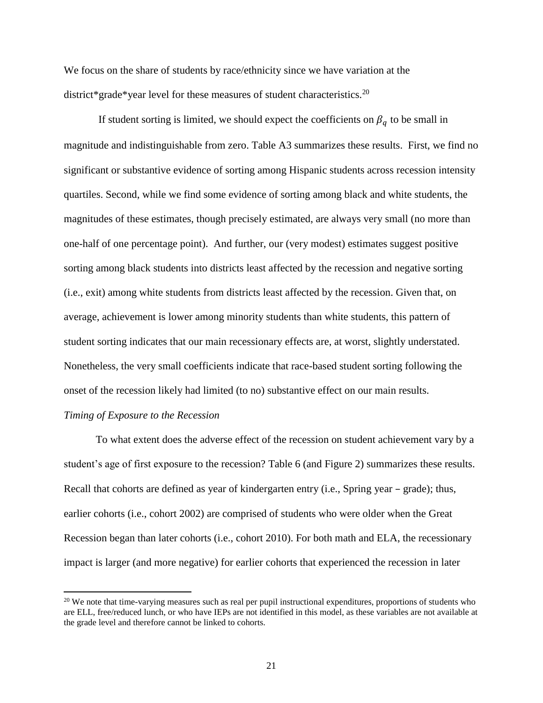We focus on the share of students by race/ethnicity since we have variation at the district\*grade\*year level for these measures of student characteristics.<sup>20</sup>

If student sorting is limited, we should expect the coefficients on  $\beta_q$  to be small in magnitude and indistinguishable from zero. Table A3 summarizes these results. First, we find no significant or substantive evidence of sorting among Hispanic students across recession intensity quartiles. Second, while we find some evidence of sorting among black and white students, the magnitudes of these estimates, though precisely estimated, are always very small (no more than one-half of one percentage point). And further, our (very modest) estimates suggest positive sorting among black students into districts least affected by the recession and negative sorting (i.e., exit) among white students from districts least affected by the recession. Given that, on average, achievement is lower among minority students than white students, this pattern of student sorting indicates that our main recessionary effects are, at worst, slightly understated. Nonetheless, the very small coefficients indicate that race-based student sorting following the onset of the recession likely had limited (to no) substantive effect on our main results.

#### *Timing of Exposure to the Recession*

 $\overline{\phantom{a}}$ 

To what extent does the adverse effect of the recession on student achievement vary by a student's age of first exposure to the recession? Table 6 (and Figure 2) summarizes these results. Recall that cohorts are defined as year of kindergarten entry (i.e., Spring year – grade); thus, earlier cohorts (i.e., cohort 2002) are comprised of students who were older when the Great Recession began than later cohorts (i.e., cohort 2010). For both math and ELA, the recessionary impact is larger (and more negative) for earlier cohorts that experienced the recession in later

<sup>&</sup>lt;sup>20</sup> We note that time-varying measures such as real per pupil instructional expenditures, proportions of students who are ELL, free/reduced lunch, or who have IEPs are not identified in this model, as these variables are not available at the grade level and therefore cannot be linked to cohorts.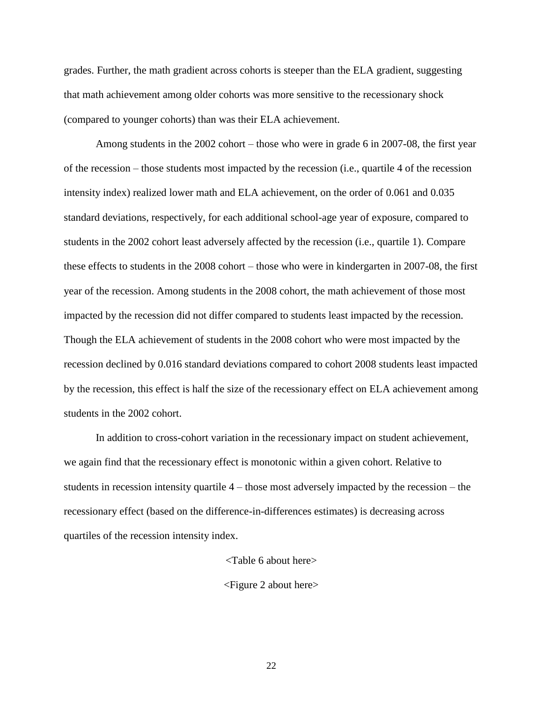grades. Further, the math gradient across cohorts is steeper than the ELA gradient, suggesting that math achievement among older cohorts was more sensitive to the recessionary shock (compared to younger cohorts) than was their ELA achievement.

Among students in the 2002 cohort – those who were in grade 6 in 2007-08, the first year of the recession – those students most impacted by the recession (i.e., quartile 4 of the recession intensity index) realized lower math and ELA achievement, on the order of 0.061 and 0.035 standard deviations, respectively, for each additional school-age year of exposure, compared to students in the 2002 cohort least adversely affected by the recession (i.e., quartile 1). Compare these effects to students in the 2008 cohort – those who were in kindergarten in 2007-08, the first year of the recession. Among students in the 2008 cohort, the math achievement of those most impacted by the recession did not differ compared to students least impacted by the recession. Though the ELA achievement of students in the 2008 cohort who were most impacted by the recession declined by 0.016 standard deviations compared to cohort 2008 students least impacted by the recession, this effect is half the size of the recessionary effect on ELA achievement among students in the 2002 cohort.

In addition to cross-cohort variation in the recessionary impact on student achievement, we again find that the recessionary effect is monotonic within a given cohort. Relative to students in recession intensity quartile 4 – those most adversely impacted by the recession – the recessionary effect (based on the difference-in-differences estimates) is decreasing across quartiles of the recession intensity index.

<Table 6 about here>

<Figure 2 about here>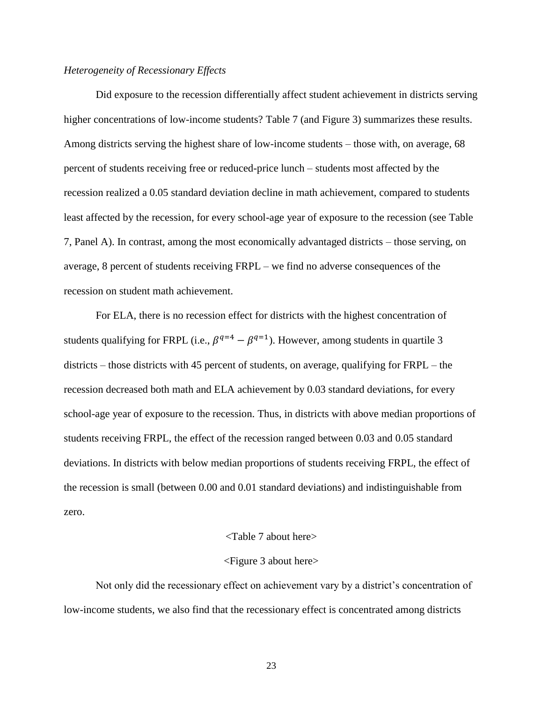#### *Heterogeneity of Recessionary Effects*

Did exposure to the recession differentially affect student achievement in districts serving higher concentrations of low-income students? Table 7 (and Figure 3) summarizes these results. Among districts serving the highest share of low-income students – those with, on average, 68 percent of students receiving free or reduced-price lunch – students most affected by the recession realized a 0.05 standard deviation decline in math achievement, compared to students least affected by the recession, for every school-age year of exposure to the recession (see Table 7, Panel A). In contrast, among the most economically advantaged districts – those serving, on average, 8 percent of students receiving FRPL – we find no adverse consequences of the recession on student math achievement.

For ELA, there is no recession effect for districts with the highest concentration of students qualifying for FRPL (i.e.,  $\beta^{q=4} - \beta^{q=1}$ ). However, among students in quartile 3 districts – those districts with 45 percent of students, on average, qualifying for FRPL – the recession decreased both math and ELA achievement by 0.03 standard deviations, for every school-age year of exposure to the recession. Thus, in districts with above median proportions of students receiving FRPL, the effect of the recession ranged between 0.03 and 0.05 standard deviations. In districts with below median proportions of students receiving FRPL, the effect of the recession is small (between 0.00 and 0.01 standard deviations) and indistinguishable from zero.

#### <Table 7 about here>

#### <Figure 3 about here>

Not only did the recessionary effect on achievement vary by a district's concentration of low-income students, we also find that the recessionary effect is concentrated among districts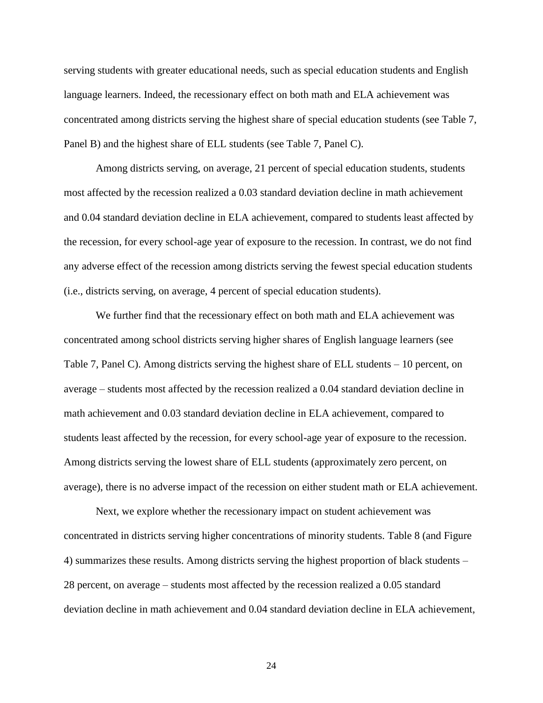serving students with greater educational needs, such as special education students and English language learners. Indeed, the recessionary effect on both math and ELA achievement was concentrated among districts serving the highest share of special education students (see Table 7, Panel B) and the highest share of ELL students (see Table 7, Panel C).

Among districts serving, on average, 21 percent of special education students, students most affected by the recession realized a 0.03 standard deviation decline in math achievement and 0.04 standard deviation decline in ELA achievement, compared to students least affected by the recession, for every school-age year of exposure to the recession. In contrast, we do not find any adverse effect of the recession among districts serving the fewest special education students (i.e., districts serving, on average, 4 percent of special education students).

We further find that the recessionary effect on both math and ELA achievement was concentrated among school districts serving higher shares of English language learners (see Table 7, Panel C). Among districts serving the highest share of ELL students – 10 percent, on average – students most affected by the recession realized a 0.04 standard deviation decline in math achievement and 0.03 standard deviation decline in ELA achievement, compared to students least affected by the recession, for every school-age year of exposure to the recession. Among districts serving the lowest share of ELL students (approximately zero percent, on average), there is no adverse impact of the recession on either student math or ELA achievement.

Next, we explore whether the recessionary impact on student achievement was concentrated in districts serving higher concentrations of minority students. Table 8 (and Figure 4) summarizes these results. Among districts serving the highest proportion of black students – 28 percent, on average – students most affected by the recession realized a 0.05 standard deviation decline in math achievement and 0.04 standard deviation decline in ELA achievement,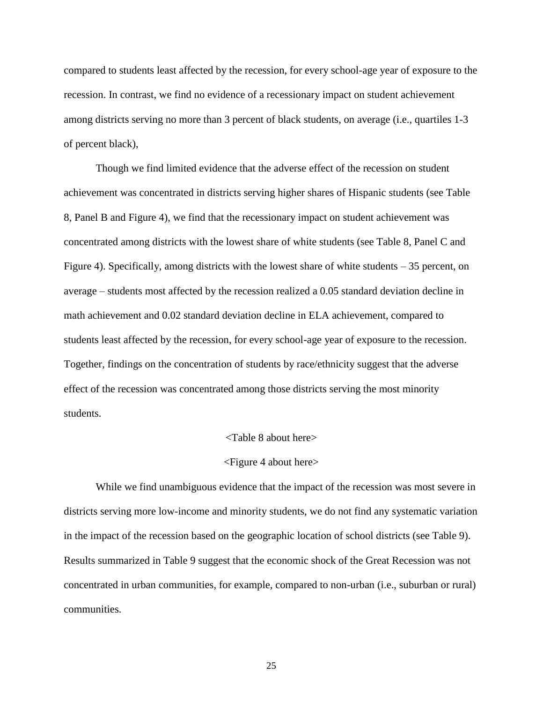compared to students least affected by the recession, for every school-age year of exposure to the recession. In contrast, we find no evidence of a recessionary impact on student achievement among districts serving no more than 3 percent of black students, on average (i.e., quartiles 1-3 of percent black),

Though we find limited evidence that the adverse effect of the recession on student achievement was concentrated in districts serving higher shares of Hispanic students (see Table 8, Panel B and Figure 4), we find that the recessionary impact on student achievement was concentrated among districts with the lowest share of white students (see Table 8, Panel C and Figure 4). Specifically, among districts with the lowest share of white students – 35 percent, on average – students most affected by the recession realized a 0.05 standard deviation decline in math achievement and 0.02 standard deviation decline in ELA achievement, compared to students least affected by the recession, for every school-age year of exposure to the recession. Together, findings on the concentration of students by race/ethnicity suggest that the adverse effect of the recession was concentrated among those districts serving the most minority students.

#### <Table 8 about here>

#### <Figure 4 about here>

While we find unambiguous evidence that the impact of the recession was most severe in districts serving more low-income and minority students, we do not find any systematic variation in the impact of the recession based on the geographic location of school districts (see Table 9). Results summarized in Table 9 suggest that the economic shock of the Great Recession was not concentrated in urban communities, for example, compared to non-urban (i.e., suburban or rural) communities.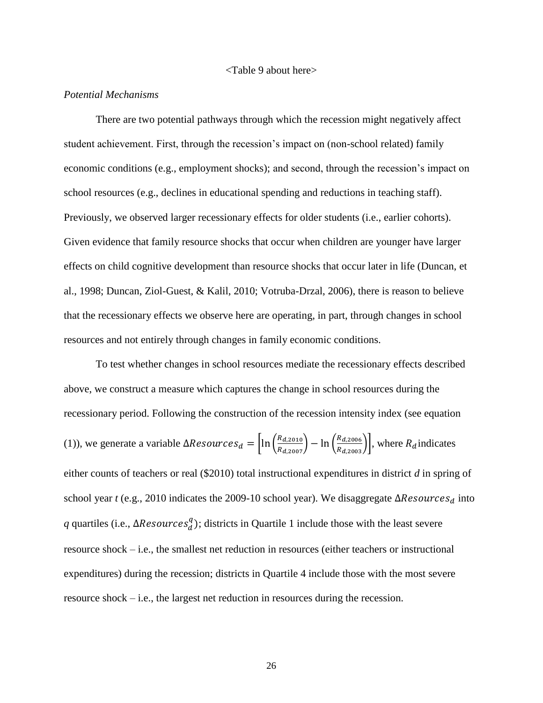#### <Table 9 about here>

#### *Potential Mechanisms*

There are two potential pathways through which the recession might negatively affect student achievement. First, through the recession's impact on (non-school related) family economic conditions (e.g., employment shocks); and second, through the recession's impact on school resources (e.g., declines in educational spending and reductions in teaching staff). Previously, we observed larger recessionary effects for older students (i.e., earlier cohorts). Given evidence that family resource shocks that occur when children are younger have larger effects on child cognitive development than resource shocks that occur later in life (Duncan, et al., 1998; Duncan, Ziol-Guest, & Kalil, 2010; Votruba-Drzal, 2006), there is reason to believe that the recessionary effects we observe here are operating, in part, through changes in school resources and not entirely through changes in family economic conditions.

To test whether changes in school resources mediate the recessionary effects described above, we construct a measure which captures the change in school resources during the recessionary period. Following the construction of the recession intensity index (see equation (1)), we generate a variable  $\Delta Resources_d = \left[ln\left(\frac{R_{d,2010}}{R_{d,2007}}\right) - ln\left(\frac{R_{d,2006}}{R_{d,2003}}\right)\right]$ , where  $R_d$  indicates either counts of teachers or real (\$2010) total instructional expenditures in district *d* in spring of school year  $t$  (e.g., 2010 indicates the 2009-10 school year). We disaggregate  $\Delta Resources_d$  into *q* quartiles (i.e.,  $\Delta Resources_d^q$ ); districts in Quartile 1 include those with the least severe resource shock – i.e., the smallest net reduction in resources (either teachers or instructional expenditures) during the recession; districts in Quartile 4 include those with the most severe resource shock – i.e., the largest net reduction in resources during the recession.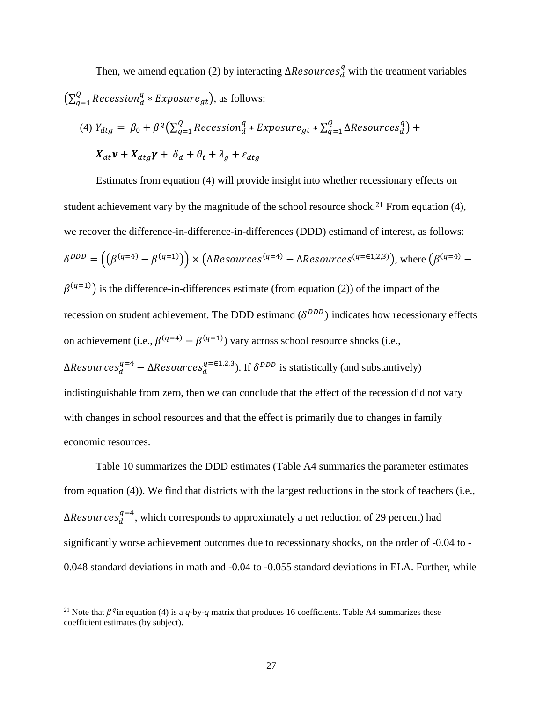Then, we amend equation (2) by interacting  $\Delta Resources_d^q$  with the treatment variables  $\left(\Sigma_{q=1}^\text{Q} \mathit{Recession}^q_d * \mathit{Exposure}_{gt}\right)$  $_{q=1}^Q$  Recession $_{d}^q$   $*$  Exposure $_{gt}$ ), as follows:

(4) 
$$
Y_{dtg} = \beta_0 + \beta^q \left( \sum_{q=1}^Q Recession_d^q * Exposure_{gt} * \sum_{q=1}^Q \Delta Resources_d^q \right) +
$$
  
 $X_{dt} \nu + X_{dtg} \gamma + \delta_d + \theta_t + \lambda_g + \varepsilon_{dtg}$ 

Estimates from equation (4) will provide insight into whether recessionary effects on student achievement vary by the magnitude of the school resource shock.<sup>21</sup> From equation (4), we recover the difference-in-difference-in-differences (DDD) estimand of interest, as follows:  $\delta^{DDD} = ((\beta^{(q=4)} - \beta^{(q=1)})) \times (\Delta Resources^{(q=4)} - \Delta Resources^{(q=61,2,3)}),$  where  $(\beta^{(q=4)} - \beta^{(q=4)})$  $\beta^{(q=1)}$ ) is the difference-in-differences estimate (from equation (2)) of the impact of the recession on student achievement. The DDD estimand  $(\delta^{DDD})$  indicates how recessionary effects on achievement (i.e.,  $\beta^{(q=4)} - \beta^{(q=1)}$ ) vary across school resource shocks (i.e.,  $\Delta Resources_d^{q=4} - \Delta Resources_d^{q=61,2,3}$ ). If  $\delta^{DDD}$  is statistically (and substantively) indistinguishable from zero, then we can conclude that the effect of the recession did not vary with changes in school resources and that the effect is primarily due to changes in family economic resources.

Table 10 summarizes the DDD estimates (Table A4 summaries the parameter estimates from equation (4)). We find that districts with the largest reductions in the stock of teachers (i.e.,  $\Delta Resources_d^{q=4}$ , which corresponds to approximately a net reduction of 29 percent) had significantly worse achievement outcomes due to recessionary shocks, on the order of -0.04 to - 0.048 standard deviations in math and -0.04 to -0.055 standard deviations in ELA. Further, while

 $\overline{a}$ 

<sup>&</sup>lt;sup>21</sup> Note that  $\beta^q$  in equation (4) is a *q*-by-*q* matrix that produces 16 coefficients. Table A4 summarizes these coefficient estimates (by subject).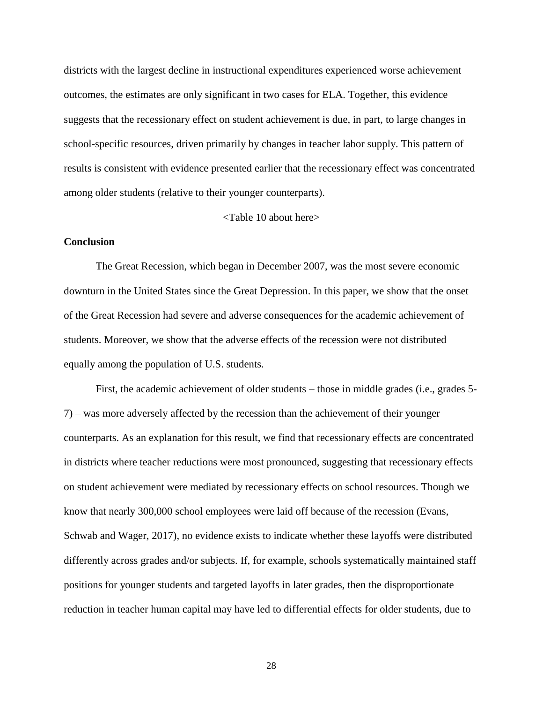districts with the largest decline in instructional expenditures experienced worse achievement outcomes, the estimates are only significant in two cases for ELA. Together, this evidence suggests that the recessionary effect on student achievement is due, in part, to large changes in school-specific resources, driven primarily by changes in teacher labor supply. This pattern of results is consistent with evidence presented earlier that the recessionary effect was concentrated among older students (relative to their younger counterparts).

#### <Table 10 about here>

#### **Conclusion**

The Great Recession, which began in December 2007, was the most severe economic downturn in the United States since the Great Depression. In this paper, we show that the onset of the Great Recession had severe and adverse consequences for the academic achievement of students. Moreover, we show that the adverse effects of the recession were not distributed equally among the population of U.S. students.

First, the academic achievement of older students – those in middle grades (i.e., grades 5- 7) – was more adversely affected by the recession than the achievement of their younger counterparts. As an explanation for this result, we find that recessionary effects are concentrated in districts where teacher reductions were most pronounced, suggesting that recessionary effects on student achievement were mediated by recessionary effects on school resources. Though we know that nearly 300,000 school employees were laid off because of the recession (Evans, Schwab and Wager, 2017), no evidence exists to indicate whether these layoffs were distributed differently across grades and/or subjects. If, for example, schools systematically maintained staff positions for younger students and targeted layoffs in later grades, then the disproportionate reduction in teacher human capital may have led to differential effects for older students, due to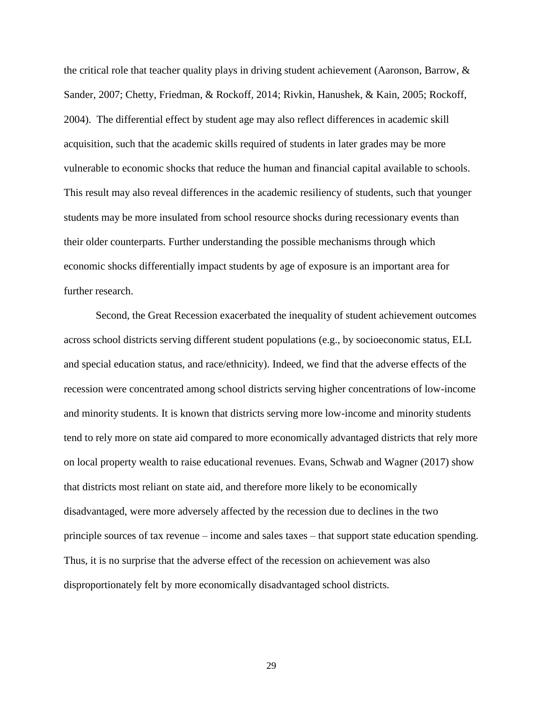the critical role that teacher quality plays in driving student achievement (Aaronson, Barrow, & Sander, 2007; Chetty, Friedman, & Rockoff, 2014; Rivkin, Hanushek, & Kain, 2005; Rockoff, 2004). The differential effect by student age may also reflect differences in academic skill acquisition, such that the academic skills required of students in later grades may be more vulnerable to economic shocks that reduce the human and financial capital available to schools. This result may also reveal differences in the academic resiliency of students, such that younger students may be more insulated from school resource shocks during recessionary events than their older counterparts. Further understanding the possible mechanisms through which economic shocks differentially impact students by age of exposure is an important area for further research.

Second, the Great Recession exacerbated the inequality of student achievement outcomes across school districts serving different student populations (e.g., by socioeconomic status, ELL and special education status, and race/ethnicity). Indeed, we find that the adverse effects of the recession were concentrated among school districts serving higher concentrations of low-income and minority students. It is known that districts serving more low-income and minority students tend to rely more on state aid compared to more economically advantaged districts that rely more on local property wealth to raise educational revenues. Evans, Schwab and Wagner (2017) show that districts most reliant on state aid, and therefore more likely to be economically disadvantaged, were more adversely affected by the recession due to declines in the two principle sources of tax revenue – income and sales taxes – that support state education spending. Thus, it is no surprise that the adverse effect of the recession on achievement was also disproportionately felt by more economically disadvantaged school districts.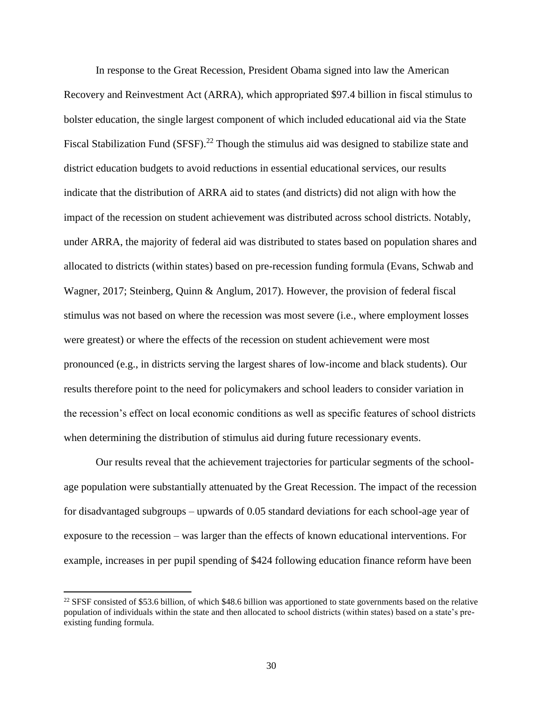In response to the Great Recession, President Obama signed into law the American Recovery and Reinvestment Act (ARRA), which appropriated \$97.4 billion in fiscal stimulus to bolster education, the single largest component of which included educational aid via the State Fiscal Stabilization Fund (SFSF).<sup>22</sup> Though the stimulus aid was designed to stabilize state and district education budgets to avoid reductions in essential educational services, our results indicate that the distribution of ARRA aid to states (and districts) did not align with how the impact of the recession on student achievement was distributed across school districts. Notably, under ARRA, the majority of federal aid was distributed to states based on population shares and allocated to districts (within states) based on pre-recession funding formula (Evans, Schwab and Wagner, 2017; Steinberg, Quinn & Anglum, 2017). However, the provision of federal fiscal stimulus was not based on where the recession was most severe (i.e., where employment losses were greatest) or where the effects of the recession on student achievement were most pronounced (e.g., in districts serving the largest shares of low-income and black students). Our results therefore point to the need for policymakers and school leaders to consider variation in the recession's effect on local economic conditions as well as specific features of school districts when determining the distribution of stimulus aid during future recessionary events.

Our results reveal that the achievement trajectories for particular segments of the schoolage population were substantially attenuated by the Great Recession. The impact of the recession for disadvantaged subgroups – upwards of 0.05 standard deviations for each school-age year of exposure to the recession – was larger than the effects of known educational interventions. For example, increases in per pupil spending of \$424 following education finance reform have been

 $\overline{\phantom{a}}$ 

<sup>&</sup>lt;sup>22</sup> SFSF consisted of \$53.6 billion, of which \$48.6 billion was apportioned to state governments based on the relative population of individuals within the state and then allocated to school districts (within states) based on a state's preexisting funding formula.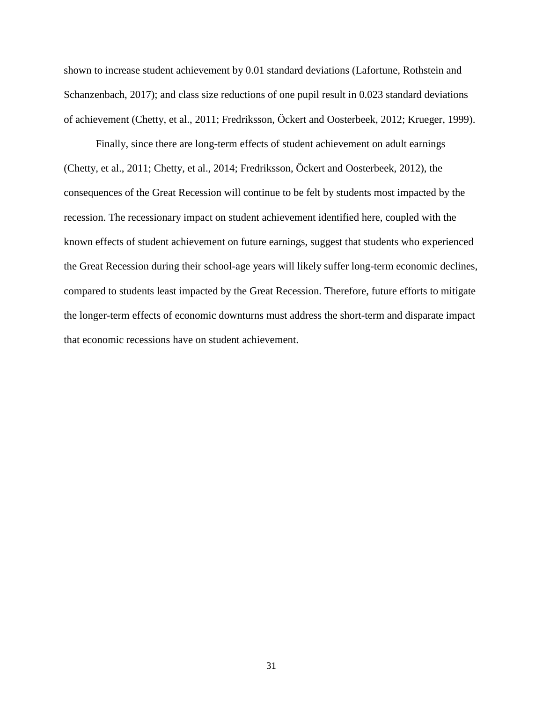shown to increase student achievement by 0.01 standard deviations (Lafortune, Rothstein and Schanzenbach, 2017); and class size reductions of one pupil result in 0.023 standard deviations of achievement (Chetty, et al., 2011; Fredriksson, Öckert and Oosterbeek, 2012; Krueger, 1999).

Finally, since there are long-term effects of student achievement on adult earnings (Chetty, et al., 2011; Chetty, et al., 2014; Fredriksson, Öckert and Oosterbeek, 2012), the consequences of the Great Recession will continue to be felt by students most impacted by the recession. The recessionary impact on student achievement identified here, coupled with the known effects of student achievement on future earnings, suggest that students who experienced the Great Recession during their school-age years will likely suffer long-term economic declines, compared to students least impacted by the Great Recession. Therefore, future efforts to mitigate the longer-term effects of economic downturns must address the short-term and disparate impact that economic recessions have on student achievement.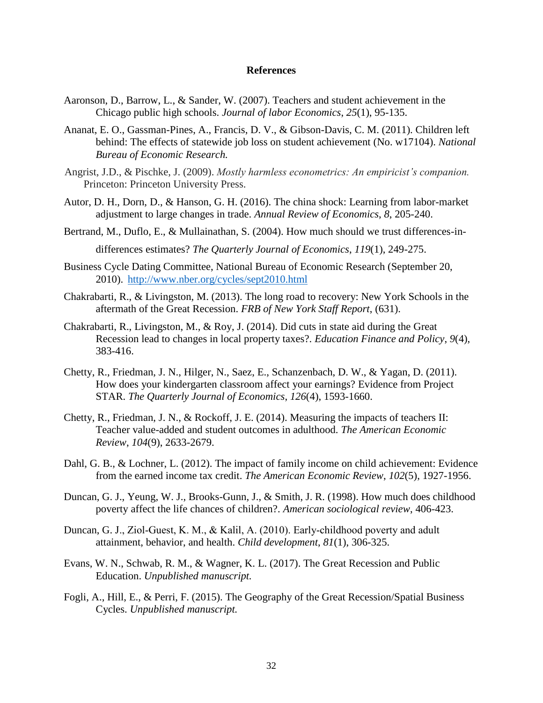#### **References**

- Aaronson, D., Barrow, L., & Sander, W. (2007). Teachers and student achievement in the Chicago public high schools. *Journal of labor Economics*, *25*(1), 95-135.
- Ananat, E. O., Gassman-Pines, A., Francis, D. V., & Gibson-Davis, C. M. (2011). Children left behind: The effects of statewide job loss on student achievement (No. w17104). *National Bureau of Economic Research.*
- Angrist, J.D., & Pischke, J. (2009). *Mostly harmless econometrics: An empiricist's companion.* Princeton: Princeton University Press.
- Autor, D. H., Dorn, D., & Hanson, G. H. (2016). The china shock: Learning from labor-market adjustment to large changes in trade. *Annual Review of Economics*, *8*, 205-240.
- Bertrand, M., Duflo, E., & Mullainathan, S. (2004). How much should we trust differences-in-

differences estimates? *The Quarterly Journal of Economics*, *119*(1), 249-275.

- Business Cycle Dating Committee, National Bureau of Economic Research (September 20, 2010). <http://www.nber.org/cycles/sept2010.html>
- Chakrabarti, R., & Livingston, M. (2013). The long road to recovery: New York Schools in the aftermath of the Great Recession. *FRB of New York Staff Report*, (631).
- Chakrabarti, R., Livingston, M., & Roy, J. (2014). Did cuts in state aid during the Great Recession lead to changes in local property taxes?. *Education Finance and Policy*, *9*(4), 383-416.
- Chetty, R., Friedman, J. N., Hilger, N., Saez, E., Schanzenbach, D. W., & Yagan, D. (2011). How does your kindergarten classroom affect your earnings? Evidence from Project STAR. *The Quarterly Journal of Economics*, *126*(4), 1593-1660.
- Chetty, R., Friedman, J. N., & Rockoff, J. E. (2014). Measuring the impacts of teachers II: Teacher value-added and student outcomes in adulthood. *The American Economic Review*, *104*(9), 2633-2679.
- Dahl, G. B., & Lochner, L. (2012). The impact of family income on child achievement: Evidence from the earned income tax credit. *The American Economic Review*, *102*(5), 1927-1956.
- Duncan, G. J., Yeung, W. J., Brooks-Gunn, J., & Smith, J. R. (1998). How much does childhood poverty affect the life chances of children?. *American sociological review*, 406-423.
- Duncan, G. J., Ziol-Guest, K. M., & Kalil, A. (2010). Early-childhood poverty and adult attainment, behavior, and health. *Child development*, *81*(1), 306-325.
- Evans, W. N., Schwab, R. M., & Wagner, K. L. (2017). The Great Recession and Public Education. *Unpublished manuscript.*
- Fogli, A., Hill, E., & Perri, F. (2015). The Geography of the Great Recession/Spatial Business Cycles. *Unpublished manuscript.*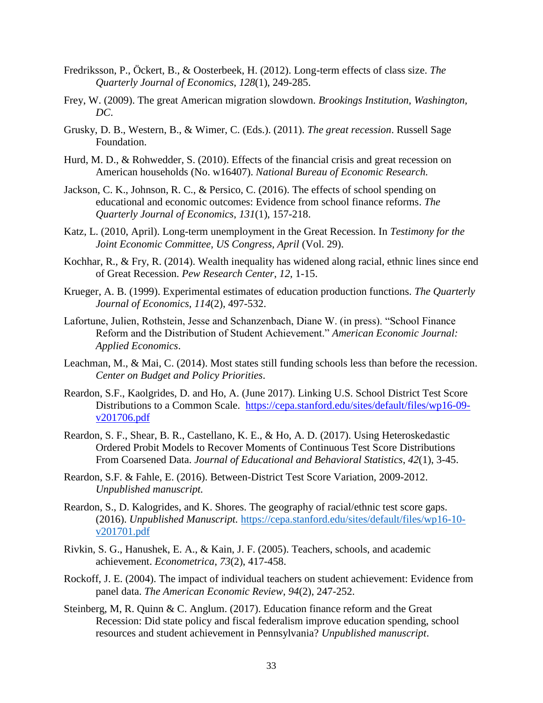- Fredriksson, P., Öckert, B., & Oosterbeek, H. (2012). Long-term effects of class size. *The Quarterly Journal of Economics*, *128*(1), 249-285.
- Frey, W. (2009). The great American migration slowdown. *Brookings Institution, Washington, DC*.
- Grusky, D. B., Western, B., & Wimer, C. (Eds.). (2011). *The great recession*. Russell Sage Foundation.
- Hurd, M. D., & Rohwedder, S. (2010). Effects of the financial crisis and great recession on American households (No. w16407). *National Bureau of Economic Research.*
- Jackson, C. K., Johnson, R. C., & Persico, C. (2016). The effects of school spending on educational and economic outcomes: Evidence from school finance reforms. *The Quarterly Journal of Economics*, *131*(1), 157-218.
- Katz, L. (2010, April). Long-term unemployment in the Great Recession. In *Testimony for the Joint Economic Committee, US Congress, April* (Vol. 29).
- Kochhar, R., & Fry, R. (2014). Wealth inequality has widened along racial, ethnic lines since end of Great Recession. *Pew Research Center*, *12*, 1-15.
- Krueger, A. B. (1999). Experimental estimates of education production functions. *The Quarterly Journal of Economics*, *114*(2), 497-532.
- Lafortune, Julien, Rothstein, Jesse and Schanzenbach, Diane W. (in press). "School Finance Reform and the Distribution of Student Achievement." *American Economic Journal: Applied Economics*.
- Leachman, M., & Mai, C. (2014). Most states still funding schools less than before the recession. *Center on Budget and Policy Priorities*.
- Reardon, S.F., Kaolgrides, D. and Ho, A. (June 2017). Linking U.S. School District Test Score Distributions to a Common Scale. [https://cepa.stanford.edu/sites/default/files/wp16-09](https://cepa.stanford.edu/sites/default/files/wp16-09-v201706.pdf) [v201706.pdf](https://cepa.stanford.edu/sites/default/files/wp16-09-v201706.pdf)
- Reardon, S. F., Shear, B. R., Castellano, K. E., & Ho, A. D. (2017). Using Heteroskedastic Ordered Probit Models to Recover Moments of Continuous Test Score Distributions From Coarsened Data. *Journal of Educational and Behavioral Statistics*, *42*(1), 3-45.
- Reardon, S.F. & Fahle, E. (2016). Between-District Test Score Variation, 2009-2012. *Unpublished manuscript.*
- Reardon, S., D. Kalogrides, and K. Shores. The geography of racial/ethnic test score gaps. (2016). *Unpublished Manuscript.* [https://cepa.stanford.edu/sites/default/files/wp16-10](https://cepa.stanford.edu/sites/default/files/wp16-10-v201701.pdf) [v201701.pdf](https://cepa.stanford.edu/sites/default/files/wp16-10-v201701.pdf)
- Rivkin, S. G., Hanushek, E. A., & Kain, J. F. (2005). Teachers, schools, and academic achievement. *Econometrica*, *73*(2), 417-458.
- Rockoff, J. E. (2004). The impact of individual teachers on student achievement: Evidence from panel data. *The American Economic Review*, *94*(2), 247-252.
- Steinberg, M, R. Quinn & C. Anglum. (2017). Education finance reform and the Great Recession: Did state policy and fiscal federalism improve education spending, school resources and student achievement in Pennsylvania? *Unpublished manuscript*.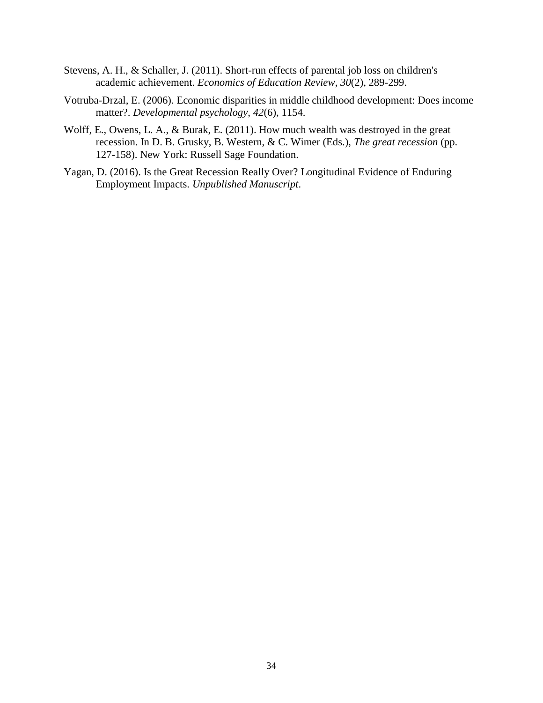- Stevens, A. H., & Schaller, J. (2011). Short-run effects of parental job loss on children's academic achievement. *Economics of Education Review*, *30*(2), 289-299.
- Votruba-Drzal, E. (2006). Economic disparities in middle childhood development: Does income matter?. *Developmental psychology*, *42*(6), 1154.
- Wolff, E., Owens, L. A., & Burak, E. (2011). How much wealth was destroyed in the great recession. In D. B. Grusky, B. Western, & C. Wimer (Eds.), *The great recession* (pp. 127-158). New York: Russell Sage Foundation.
- Yagan, D. (2016). Is the Great Recession Really Over? Longitudinal Evidence of Enduring Employment Impacts. *Unpublished Manuscript*.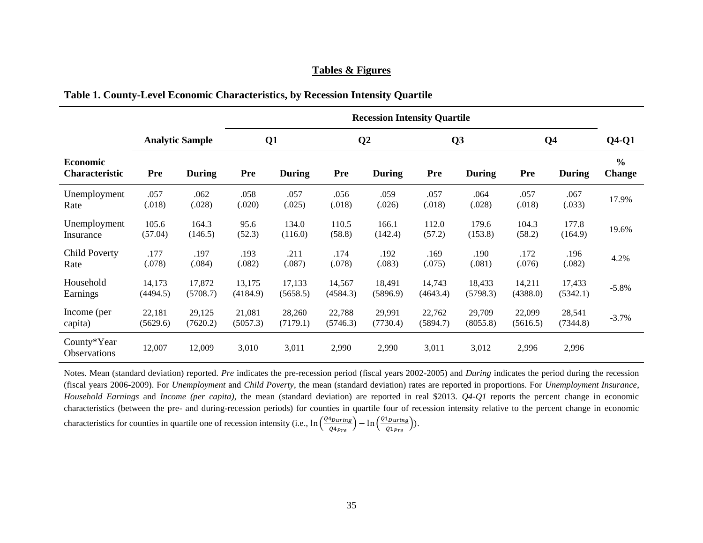#### **Tables & Figures**

|  | Table 1. County-Level Economic Characteristics, by Recession Intensity Quartile |  |  |  |
|--|---------------------------------------------------------------------------------|--|--|--|
|  |                                                                                 |  |  |  |

|                                    |            |                        |          |                |            | <b>Recession Intensity Quartile</b> |          |                |            |                |                                |
|------------------------------------|------------|------------------------|----------|----------------|------------|-------------------------------------|----------|----------------|------------|----------------|--------------------------------|
|                                    |            | <b>Analytic Sample</b> |          | Q <sub>1</sub> |            | Q <sub>2</sub>                      |          | Q <sub>3</sub> |            | Q <sub>4</sub> | $Q4-Q1$                        |
| Economic<br><b>Characteristic</b>  | <b>Pre</b> | <b>During</b>          | Pre      | <b>During</b>  | <b>Pre</b> | <b>During</b>                       | Pre      | During         | <b>Pre</b> | <b>During</b>  | $\frac{0}{0}$<br><b>Change</b> |
| Unemployment                       | .057       | .062                   | .058     | .057           | .056       | .059                                | .057     | .064           | .057       | .067           | 17.9%                          |
| Rate                               | (.018)     | (.028)                 | (.020)   | (.025)         | (.018)     | (.026)                              | (.018)   | (.028)         | (.018)     | (.033)         |                                |
| Unemployment                       | 105.6      | 164.3                  | 95.6     | 134.0          | 110.5      | 166.1                               | 112.0    | 179.6          | 104.3      | 177.8          | 19.6%                          |
| Insurance                          | (57.04)    | (146.5)                | (52.3)   | (116.0)        | (58.8)     | (142.4)                             | (57.2)   | (153.8)        | (58.2)     | (164.9)        |                                |
| <b>Child Poverty</b>               | .177       | .197                   | .193     | .211           | .174       | .192                                | .169     | .190           | .172       | .196           | 4.2%                           |
| Rate                               | (.078)     | (.084)                 | (.082)   | (.087)         | (.078)     | (.083)                              | (.075)   | (.081)         | (.076)     | (.082)         |                                |
| Household                          | 14,173     | 17,872                 | 13,175   | 17,133         | 14,567     | 18,491                              | 14,743   | 18,433         | 14,211     | 17,433         | $-5.8\%$                       |
| Earnings                           | (4494.5)   | (5708.7)               | (4184.9) | (5658.5)       | (4584.3)   | (5896.9)                            | (4643.4) | (5798.3)       | (4388.0)   | (5342.1)       |                                |
| Income (per                        | 22,181     | 29,125                 | 21,081   | 28,260         | 22,788     | 29,991                              | 22,762   | 29,709         | 22,099     | 28,541         | $-3.7%$                        |
| capita)                            | (5629.6)   | (7620.2)               | (5057.3) | (7179.1)       | (5746.3)   | (7730.4)                            | (5894.7) | (8055.8)       | (5616.5)   | (7344.8)       |                                |
| County*Year<br><b>Observations</b> | 12,007     | 12,009                 | 3,010    | 3,011          | 2,990      | 2,990                               | 3,011    | 3,012          | 2,996      | 2,996          |                                |

Notes. Mean (standard deviation) reported. *Pre* indicates the pre-recession period (fiscal years 2002-2005) and *During* indicates the period during the recession (fiscal years 2006-2009). For *Unemployment* and *Child Poverty*, the mean (standard deviation) rates are reported in proportions. For *Unemployment Insurance*, *Household Earnings* and *Income (per capita)*, the mean (standard deviation) are reported in real \$2013. *Q4-Q1* reports the percent change in economic characteristics (between the pre- and during-recession periods) for counties in quartile four of recession intensity relative to the percent change in economic characteristics for counties in quartile one of recession intensity (i.e.,  $\ln \left( \frac{Q4_{During}}{Q4} \right)$  $\frac{4_{During}}{Q4_{Pre}}$ ) —  $\ln \left(\frac{Q1_{During}}{Q1_{Pre}}\right)$  $\frac{1}{Q1_{Pre}}).$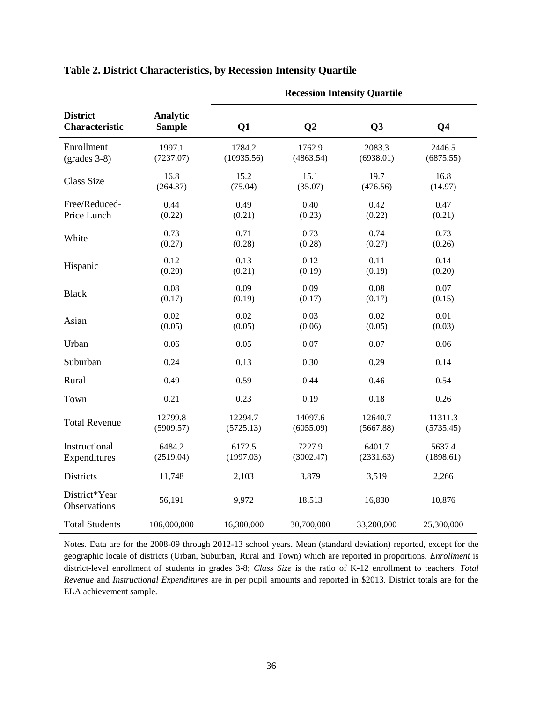|                                     |                           |            |                | <b>Recession Intensity Quartile</b> |                |
|-------------------------------------|---------------------------|------------|----------------|-------------------------------------|----------------|
| <b>District</b><br>Characteristic   | Analytic<br><b>Sample</b> | Q1         | Q <sub>2</sub> | Q3                                  | Q <sub>4</sub> |
| Enrollment                          | 1997.1                    | 1784.2     | 1762.9         | 2083.3                              | 2446.5         |
| $\left( \text{grades } 3-8 \right)$ | (7237.07)                 | (10935.56) | (4863.54)      | (6938.01)                           | (6875.55)      |
| <b>Class Size</b>                   | 16.8                      | 15.2       | 15.1           | 19.7                                | 16.8           |
|                                     | (264.37)                  | (75.04)    | (35.07)        | (476.56)                            | (14.97)        |
| Free/Reduced-                       | 0.44                      | 0.49       | 0.40           | 0.42                                | 0.47           |
| Price Lunch                         | (0.22)                    | (0.21)     | (0.23)         | (0.22)                              | (0.21)         |
| White                               | 0.73                      | 0.71       | 0.73           | 0.74                                | 0.73           |
|                                     | (0.27)                    | (0.28)     | (0.28)         | (0.27)                              | (0.26)         |
| Hispanic                            | 0.12                      | 0.13       | 0.12           | 0.11                                | 0.14           |
|                                     | (0.20)                    | (0.21)     | (0.19)         | (0.19)                              | (0.20)         |
| <b>Black</b>                        | 0.08                      | 0.09       | 0.09           | 0.08                                | 0.07           |
|                                     | (0.17)                    | (0.19)     | (0.17)         | (0.17)                              | (0.15)         |
| Asian                               | 0.02                      | 0.02       | 0.03           | 0.02                                | 0.01           |
|                                     | (0.05)                    | (0.05)     | (0.06)         | (0.05)                              | (0.03)         |
| Urban                               | 0.06                      | 0.05       | 0.07           | 0.07                                | 0.06           |
| Suburban                            | 0.24                      | 0.13       | 0.30           | 0.29                                | 0.14           |
| Rural                               | 0.49                      | 0.59       | 0.44           | 0.46                                | 0.54           |
| Town                                | 0.21                      | 0.23       | 0.19           | 0.18                                | 0.26           |
| <b>Total Revenue</b>                | 12799.8                   | 12294.7    | 14097.6        | 12640.7                             | 11311.3        |
|                                     | (5909.57)                 | (5725.13)  | (6055.09)      | (5667.88)                           | (5735.45)      |
| Instructional                       | 6484.2                    | 6172.5     | 7227.9         | 6401.7                              | 5637.4         |
| Expenditures                        | (2519.04)                 | (1997.03)  | (3002.47)      | (2331.63)                           | (1898.61)      |
| Districts                           | 11,748                    | 2,103      | 3,879          | 3,519                               | 2,266          |
| District*Year<br>Observations       | 56,191                    | 9,972      | 18,513         | 16,830                              | 10,876         |
| <b>Total Students</b>               | 106,000,000               | 16,300,000 | 30,700,000     | 33,200,000                          | 25,300,000     |

#### **Table 2. District Characteristics, by Recession Intensity Quartile**

Notes. Data are for the 2008-09 through 2012-13 school years. Mean (standard deviation) reported, except for the geographic locale of districts (Urban, Suburban, Rural and Town) which are reported in proportions. *Enrollment* is district-level enrollment of students in grades 3-8; *Class Size* is the ratio of K-12 enrollment to teachers. *Total Revenue* and *Instructional Expenditures* are in per pupil amounts and reported in \$2013. District totals are for the ELA achievement sample.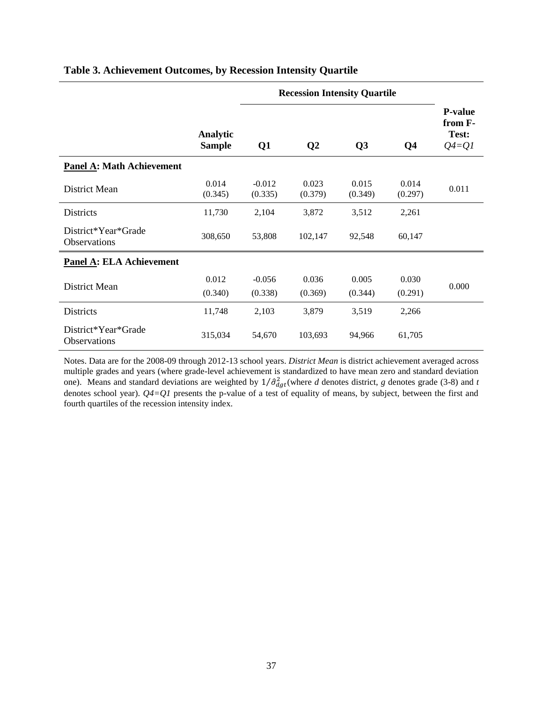|                                            |                           |                     | <b>Recession Intensity Quartile</b> |                  |                  |                                                   |
|--------------------------------------------|---------------------------|---------------------|-------------------------------------|------------------|------------------|---------------------------------------------------|
|                                            | Analytic<br><b>Sample</b> | Q1                  | $\mathbf{Q}$                        | Q3               | Q <sub>4</sub>   | <b>P-value</b><br>from F-<br>Test:<br>$Q_4 = Q_1$ |
| <b>Panel A: Math Achievement</b>           |                           |                     |                                     |                  |                  |                                                   |
| District Mean                              | 0.014<br>(0.345)          | $-0.012$<br>(0.335) | 0.023<br>(0.379)                    | 0.015<br>(0.349) | 0.014<br>(0.297) | 0.011                                             |
| <b>Districts</b>                           | 11,730                    | 2,104               | 3,872                               | 3,512            | 2,261            |                                                   |
| District*Year*Grade<br><b>Observations</b> | 308,650                   | 53,808              | 102,147                             | 92,548           | 60,147           |                                                   |
| <b>Panel A: ELA Achievement</b>            |                           |                     |                                     |                  |                  |                                                   |
| District Mean                              | 0.012                     | $-0.056$            | 0.036                               | 0.005            | 0.030            | 0.000                                             |
|                                            | (0.340)                   | (0.338)             | (0.369)                             | (0.344)          | (0.291)          |                                                   |
| <b>Districts</b>                           | 11,748                    | 2,103               | 3,879                               | 3,519            | 2,266            |                                                   |
| District*Year*Grade<br><b>Observations</b> | 315,034                   | 54,670              | 103,693                             | 94,966           | 61,705           |                                                   |

#### **Table 3. Achievement Outcomes, by Recession Intensity Quartile**

Notes. Data are for the 2008-09 through 2012-13 school years. *District Mean* is district achievement averaged across multiple grades and years (where grade-level achievement is standardized to have mean zero and standard deviation one). Means and standard deviations are weighted by  $1/\hat{\sigma}_{dgt}^2$  (where *d* denotes district, *g* denotes grade (3-8) and *t* denotes school year). *Q4=Q1* presents the p-value of a test of equality of means, by subject, between the first and fourth quartiles of the recession intensity index.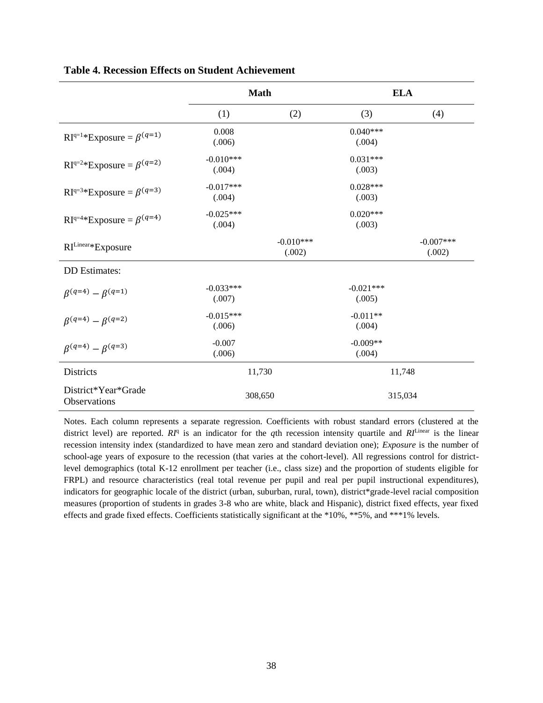|                                        | <b>Math</b>           |                       | <b>ELA</b>            |                       |
|----------------------------------------|-----------------------|-----------------------|-----------------------|-----------------------|
|                                        | (1)                   | (2)                   | (3)                   | (4)                   |
| $RI^{q=1*}$ Exposure = $\beta^{(q=1)}$ | 0.008<br>(.006)       |                       | $0.040***$<br>(.004)  |                       |
| $RI^{q=2*}$ Exposure = $\beta^{(q=2)}$ | $-0.010***$<br>(.004) |                       | $0.031***$<br>(.003)  |                       |
| $RI^{q=3*}$ Exposure = $\beta^{(q=3)}$ | $-0.017***$<br>(.004) |                       | $0.028***$<br>(.003)  |                       |
| $RI^{q=4*}$ Exposure = $\beta^{(q=4)}$ | $-0.025***$<br>(.004) |                       | $0.020***$<br>(.003)  |                       |
| RILinear*Exposure                      |                       | $-0.010***$<br>(.002) |                       | $-0.007***$<br>(.002) |
| <b>DD</b> Estimates:                   |                       |                       |                       |                       |
| $\beta^{(q=4)} - \beta^{(q=1)}$        | $-0.033***$<br>(.007) |                       | $-0.021***$<br>(.005) |                       |
| $\beta^{(q=4)} - \beta^{(q=2)}$        | $-0.015***$<br>(.006) |                       | $-0.011**$<br>(.004)  |                       |
| $\beta^{(q=4)} - \beta^{(q=3)}$        | $-0.007$<br>(.006)    |                       | $-0.009**$<br>(.004)  |                       |
| <b>Districts</b>                       | 11,730                |                       | 11,748                |                       |
| District*Year*Grade<br>Observations    | 308,650               |                       | 315,034               |                       |

**Table 4. Recession Effects on Student Achievement**

Notes. Each column represents a separate regression. Coefficients with robust standard errors (clustered at the district level) are reported.  $\mathbb{R}^{n}$  is an indicator for the *q*th recession intensity quartile and  $\mathbb{R}^{I\text{-}linear}$  is the linear recession intensity index (standardized to have mean zero and standard deviation one); *Exposure* is the number of school-age years of exposure to the recession (that varies at the cohort-level). All regressions control for districtlevel demographics (total K-12 enrollment per teacher (i.e., class size) and the proportion of students eligible for FRPL) and resource characteristics (real total revenue per pupil and real per pupil instructional expenditures), indicators for geographic locale of the district (urban, suburban, rural, town), district\*grade-level racial composition measures (proportion of students in grades 3-8 who are white, black and Hispanic), district fixed effects, year fixed effects and grade fixed effects. Coefficients statistically significant at the \*10%, \*\*5%, and \*\*\*1% levels.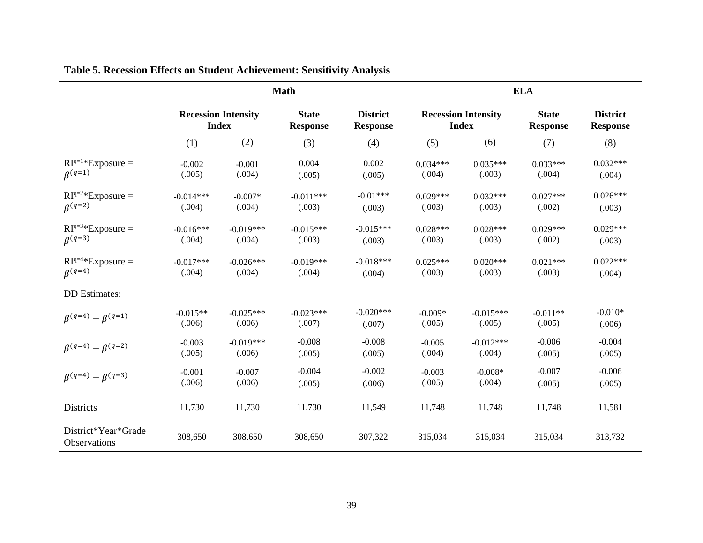|                                     |                                            |             | <b>Math</b>                     |                                    |            | <b>ELA</b>                                 |                                 |                                    |  |  |
|-------------------------------------|--------------------------------------------|-------------|---------------------------------|------------------------------------|------------|--------------------------------------------|---------------------------------|------------------------------------|--|--|
|                                     | <b>Recession Intensity</b><br><b>Index</b> |             | <b>State</b><br><b>Response</b> | <b>District</b><br><b>Response</b> |            | <b>Recession Intensity</b><br><b>Index</b> | <b>State</b><br><b>Response</b> | <b>District</b><br><b>Response</b> |  |  |
|                                     | (1)                                        | (2)         | (3)                             | (4)                                | (5)        | (6)                                        | (7)                             | (8)                                |  |  |
| $RI^{q=1*}$ Exposure =              | $-0.002$                                   | $-0.001$    | 0.004                           | 0.002                              | $0.034***$ | $0.035***$                                 | $0.033***$                      | $0.032***$                         |  |  |
| $\beta^{(q=1)}$                     | (.005)                                     | (.004)      | (.005)                          | (.005)                             | (.004)     | (.003)                                     | (.004)                          | (.004)                             |  |  |
| $RI^{q=2*}$ Exposure =              | $-0.014***$                                | $-0.007*$   | $-0.011***$                     | $-0.01***$                         | $0.029***$ | $0.032***$                                 | $0.027***$                      | $0.026***$                         |  |  |
| $\beta^{(q=2)}$                     | (.004)                                     | (.004)      | (.003)                          | (.003)                             | (.003)     | (.003)                                     | (.002)                          | (.003)                             |  |  |
| $RI^{q=3*}$ Exposure =              | $-0.016***$                                | $-0.019***$ | $-0.015***$                     | $-0.015***$                        | $0.028***$ | $0.028***$                                 | $0.029***$                      | $0.029***$                         |  |  |
| $\beta^{(q=3)}$                     | (.004)                                     | (.004)      | (.003)                          | (.003)                             | (.003)     | (.003)                                     | (.002)                          | (.003)                             |  |  |
| $RI^{q=4*}$ Exposure =              | $-0.017***$                                | $-0.026***$ | $-0.019***$                     | $-0.018***$                        | $0.025***$ | $0.020***$                                 | $0.021***$                      | $0.022***$                         |  |  |
| $\beta^{(q=4)}$                     | (.004)                                     | (.004)      | (.004)                          | (.004)                             | (.003)     | (.003)                                     | (.003)                          | (.004)                             |  |  |
| <b>DD</b> Estimates:                |                                            |             |                                 |                                    |            |                                            |                                 |                                    |  |  |
| $\beta^{(q=4)} - \beta^{(q=1)}$     | $-0.015**$                                 | $-0.025***$ | $-0.023***$                     | $-0.020***$                        | $-0.009*$  | $-0.015***$                                | $-0.011**$                      | $-0.010*$                          |  |  |
|                                     | (.006)                                     | (.006)      | (.007)                          | (.007)                             | (.005)     | (.005)                                     | (.005)                          | (.006)                             |  |  |
| $\beta^{(q=4)} - \beta^{(q=2)}$     | $-0.003$                                   | $-0.019***$ | $-0.008$                        | $-0.008$                           | $-0.005$   | $-0.012***$                                | $-0.006$                        | $-0.004$                           |  |  |
|                                     | (.005)                                     | (.006)      | (.005)                          | (.005)                             | (.004)     | (.004)                                     | (.005)                          | (.005)                             |  |  |
| $\beta^{(q=4)} - \beta^{(q=3)}$     | $-0.001$                                   | $-0.007$    | $-0.004$                        | $-0.002$                           | $-0.003$   | $-0.008*$                                  | $-0.007$                        | $-0.006$                           |  |  |
|                                     | (.006)                                     | (.006)      | (.005)                          | (.006)                             | (.005)     | (.004)                                     | (.005)                          | (.005)                             |  |  |
| Districts                           | 11,730                                     | 11,730      | 11,730                          | 11,549                             | 11,748     | 11,748                                     | 11,748                          | 11,581                             |  |  |
| District*Year*Grade<br>Observations | 308,650                                    | 308,650     | 308,650                         | 307,322                            | 315,034    | 315,034                                    | 315,034                         | 313,732                            |  |  |

## **Table 5. Recession Effects on Student Achievement: Sensitivity Analysis**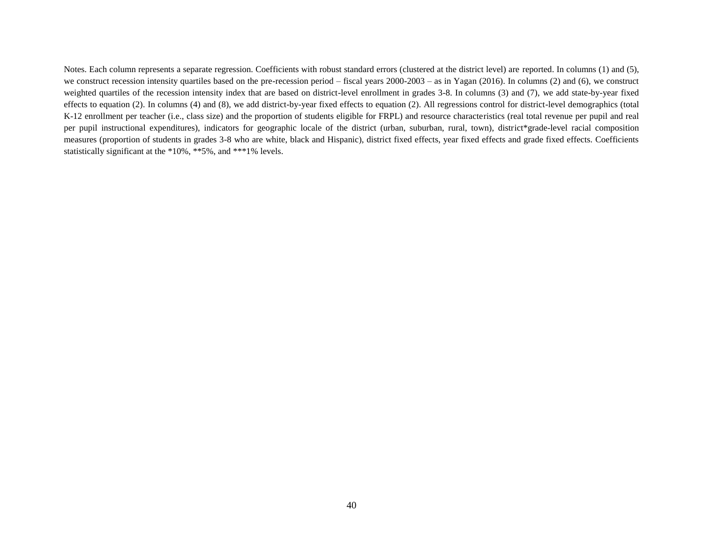Notes. Each column represents a separate regression. Coefficients with robust standard errors (clustered at the district level) are reported. In columns (1) and (5), we construct recession intensity quartiles based on the pre-recession period – fiscal years 2000-2003 – as in Yagan (2016). In columns (2) and (6), we construct weighted quartiles of the recession intensity index that are based on district-level enrollment in grades 3-8. In columns (3) and (7), we add state-by-year fixed effects to equation (2). In columns (4) and (8), we add district-by-year fixed effects to equation (2). All regressions control for district-level demographics (total K-12 enrollment per teacher (i.e., class size) and the proportion of students eligible for FRPL) and resource characteristics (real total revenue per pupil and real per pupil instructional expenditures), indicators for geographic locale of the district (urban, suburban, rural, town), district\*grade-level racial composition measures (proportion of students in grades 3-8 who are white, black and Hispanic), district fixed effects, year fixed effects and grade fixed effects. Coefficients statistically significant at the \*10%, \*\*5%, and \*\*\*1% levels.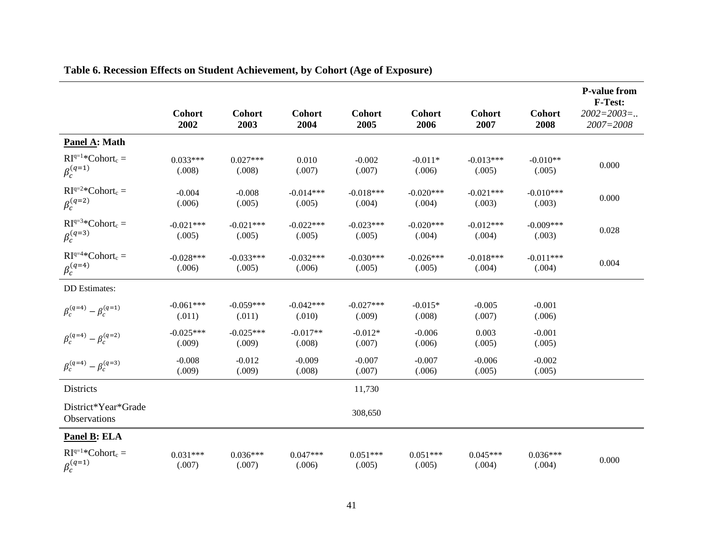|                                            | <b>Cohort</b><br>2002 | <b>Cohort</b><br>2003 | <b>Cohort</b><br>2004 | <b>Cohort</b><br>2005 | <b>Cohort</b><br>2006 | <b>Cohort</b><br>2007 | <b>Cohort</b><br>2008 | <b>P-value from</b><br>F-Test:<br>$2002 = 2003 = $<br>2007=2008 |
|--------------------------------------------|-----------------------|-----------------------|-----------------------|-----------------------|-----------------------|-----------------------|-----------------------|-----------------------------------------------------------------|
| Panel A: Math                              |                       |                       |                       |                       |                       |                       |                       |                                                                 |
| $RI^{q=1*}Cohort_c =$<br>$\beta_c^{(q=1)}$ | $0.033***$<br>(.008)  | $0.027***$<br>(.008)  | 0.010<br>(.007)       | $-0.002$<br>(.007)    | $-0.011*$<br>(.006)   | $-0.013***$<br>(.005) | $-0.010**$<br>(.005)  | 0.000                                                           |
| $RI^{q=2*}Cohort_c =$<br>$\beta_c^{(q=2)}$ | $-0.004$<br>(.006)    | $-0.008$<br>(.005)    | $-0.014***$<br>(.005) | $-0.018***$<br>(.004) | $-0.020***$<br>(.004) | $-0.021***$<br>(.003) | $-0.010***$<br>(.003) | 0.000                                                           |
| $RI^{q=3}*Cohort_c =$<br>$\beta_c^{(q=3)}$ | $-0.021***$<br>(.005) | $-0.021***$<br>(.005) | $-0.022***$<br>(.005) | $-0.023***$<br>(.005) | $-0.020***$<br>(.004) | $-0.012***$<br>(.004) | $-0.009***$<br>(.003) | 0.028                                                           |
| $RI^{q=4*}Cohort_c =$<br>$\beta_c^{(q=4)}$ | $-0.028***$<br>(.006) | $-0.033***$<br>(.005) | $-0.032***$<br>(.006) | $-0.030***$<br>(.005) | $-0.026***$<br>(.005) | $-0.018***$<br>(.004) | $-0.011***$<br>(.004) | 0.004                                                           |
| <b>DD</b> Estimates:                       |                       |                       |                       |                       |                       |                       |                       |                                                                 |
| $\beta_c^{(q=4)} - \beta_c^{(q=1)}$        | $-0.061***$<br>(.011) | $-0.059***$<br>(.011) | $-0.042***$<br>(.010) | $-0.027***$<br>(.009) | $-0.015*$<br>(.008)   | $-0.005$<br>(.007)    | $-0.001$<br>(.006)    |                                                                 |
| $\beta_c^{(q=4)} - \beta_c^{(q=2)}$        | $-0.025***$<br>(.009) | $-0.025***$<br>(.009) | $-0.017**$<br>(.008)  | $-0.012*$<br>(.007)   | $-0.006$<br>(.006)    | 0.003<br>(.005)       | $-0.001$<br>(.005)    |                                                                 |
| $\beta_c^{(q=4)} - \beta_c^{(q=3)}$        | $-0.008$<br>(.009)    | $-0.012$<br>(.009)    | $-0.009$<br>(.008)    | $-0.007$<br>(.007)    | $-0.007$<br>(.006)    | $-0.006$<br>(.005)    | $-0.002$<br>(.005)    |                                                                 |
| Districts                                  |                       |                       |                       | 11,730                |                       |                       |                       |                                                                 |
| District*Year*Grade<br>Observations        |                       |                       |                       | 308,650               |                       |                       |                       |                                                                 |
| Panel B: ELA                               |                       |                       |                       |                       |                       |                       |                       |                                                                 |
| $RIq=1*Cohortc =$<br>$\beta_c^{(q=1)}$     | $0.031***$<br>(.007)  | $0.036***$<br>(.007)  | $0.047***$<br>(.006)  | $0.051***$<br>(.005)  | $0.051***$<br>(.005)  | $0.045***$<br>(.004)  | $0.036***$<br>(.004)  | 0.000                                                           |

### **Table 6. Recession Effects on Student Achievement, by Cohort (Age of Exposure)**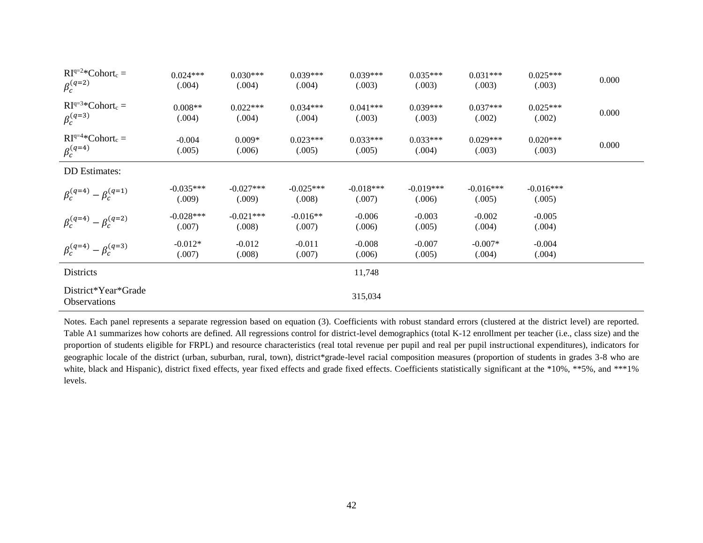| $RI^{q=2*}Cohort_c =$<br>$\beta_c^{(q=2)}$ | $0.024***$<br>(.004)  | $0.030***$<br>(.004)  | $0.039***$<br>(.004)  | $0.039***$<br>(.003)  | $0.035***$<br>(.003)  | $0.031***$<br>(.003)  | $0.025***$<br>(.003)  | 0.000 |
|--------------------------------------------|-----------------------|-----------------------|-----------------------|-----------------------|-----------------------|-----------------------|-----------------------|-------|
| $RI^{q=3*}Cohort_c =$<br>$\beta_c^{(q=3)}$ | $0.008**$<br>(.004)   | $0.022***$<br>(.004)  | $0.034***$<br>(.004)  | $0.041***$<br>(.003)  | $0.039***$<br>(.003)  | $0.037***$<br>(.002)  | $0.025***$<br>(.002)  | 0.000 |
| $RI^{q=4*}Cohort_c =$<br>$\beta_c^{(q=4)}$ | $-0.004$<br>(.005)    | $0.009*$<br>(.006)    | $0.023***$<br>(.005)  | $0.033***$<br>(.005)  | $0.033***$<br>(.004)  | $0.029***$<br>(.003)  | $0.020***$<br>(.003)  | 0.000 |
| <b>DD</b> Estimates:                       |                       |                       |                       |                       |                       |                       |                       |       |
| $\beta_c^{(q=4)} - \beta_c^{(q=1)}$        | $-0.035***$<br>(.009) | $-0.027***$<br>(.009) | $-0.025***$<br>(.008) | $-0.018***$<br>(.007) | $-0.019***$<br>(.006) | $-0.016***$<br>(.005) | $-0.016***$<br>(.005) |       |
| $\beta_c^{(q=4)} - \beta_c^{(q=2)}$        | $-0.028***$<br>(.007) | $-0.021***$<br>(.008) | $-0.016**$<br>(.007)  | $-0.006$<br>(.006)    | $-0.003$<br>(.005)    | $-0.002$<br>(.004)    | $-0.005$<br>(.004)    |       |
| $\beta_c^{(q=4)} - \beta_c^{(q=3)}$        | $-0.012*$<br>(.007)   | $-0.012$<br>(.008)    | $-0.011$<br>(.007)    | $-0.008$<br>(.006)    | $-0.007$<br>(.005)    | $-0.007*$<br>(.004)   | $-0.004$<br>(.004)    |       |
| Districts                                  |                       |                       |                       | 11,748                |                       |                       |                       |       |
| District*Year*Grade<br>Observations        |                       |                       |                       | 315,034               |                       |                       |                       |       |

Notes. Each panel represents a separate regression based on equation (3). Coefficients with robust standard errors (clustered at the district level) are reported. Table A1 summarizes how cohorts are defined. All regressions control for district-level demographics (total K-12 enrollment per teacher (i.e., class size) and the proportion of students eligible for FRPL) and resource characteristics (real total revenue per pupil and real per pupil instructional expenditures), indicators for geographic locale of the district (urban, suburban, rural, town), district\*grade-level racial composition measures (proportion of students in grades 3-8 who are white, black and Hispanic), district fixed effects, year fixed effects and grade fixed effects. Coefficients statistically significant at the \*10%, \*\*5%, and \*\*\*1% levels.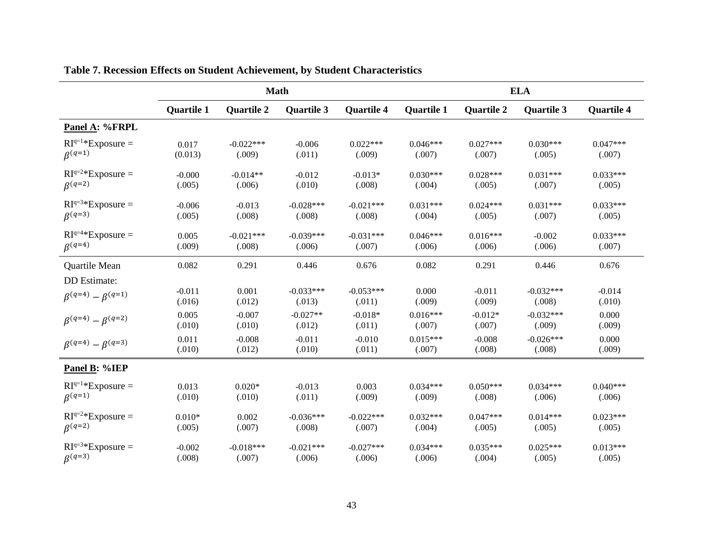|                                 |                   |                   | <b>Math</b>       |                   | <b>ELA</b>        |                   |                   |                   |
|---------------------------------|-------------------|-------------------|-------------------|-------------------|-------------------|-------------------|-------------------|-------------------|
|                                 | <b>Quartile 1</b> | <b>Quartile 2</b> | <b>Quartile 3</b> | <b>Quartile 4</b> | <b>Quartile 1</b> | <b>Quartile 2</b> | <b>Quartile 3</b> | <b>Quartile 4</b> |
| Panel A: %FRPL                  |                   |                   |                   |                   |                   |                   |                   |                   |
| $RI^{q=1*}$ Exposure =          | 0.017             | $-0.022***$       | $-0.006$          | $0.022***$        | $0.046***$        | $0.027***$        | $0.030***$        | $0.047***$        |
| $\beta^{(q=1)}$                 | (0.013)           | (.009)            | (.011)            | (.009)            | (.007)            | (.007)            | (.005)            | (.007)            |
| $RI^{q=2*}$ Exposure =          | $-0.000$          | $-0.014**$        | $-0.012$          | $-0.013*$         | $0.030***$        | $0.028***$        | $0.031***$        | $0.033***$        |
| $\beta^{(q=2)}$                 | (.005)            | (.006)            | (.010)            | (.008)            | (.004)            | (.005)            | (.007)            | (.005)            |
| $RI^{q=3*}$ Exposure =          | $-0.006$          | $-0.013$          | $-0.028***$       | $-0.021***$       | $0.031***$        | $0.024***$        | $0.031***$        | $0.033***$        |
| $\beta^{(q=3)}$                 | (.005)            | (.008)            | (.008)            | (.008)            | (.004)            | (.005)            | (.007)            | (.005)            |
| $RI^{q=4*}$ Exposure =          | 0.005             | $-0.021***$       | $-0.039***$       | $-0.031***$       | $0.046***$        | $0.016***$        | $-0.002$          | $0.033***$        |
| $\beta^{(q=4)}$                 | (.009)            | (.008)            | (.006)            | (.007)            | (.006)            | (.006)            | (.006)            | (.007)            |
| Quartile Mean                   | 0.082             | 0.291             | 0.446             | 0.676             | 0.082             | 0.291             | 0.446             | 0.676             |
| DD Estimate:                    | $-0.011$          | 0.001             | $-0.033***$       | $-0.053***$       | 0.000             | $-0.011$          | $-0.032***$       | $-0.014$          |
| $\beta^{(q=4)} - \beta^{(q=1)}$ | (.016)            | (.012)            | (.013)            | (.011)            | (.009)            | (.009)            | (.008)            | (.010)            |
| $\beta^{(q=4)} - \beta^{(q=2)}$ | 0.005             | $-0.007$          | $-0.027**$        | $-0.018*$         | $0.016***$        | $-0.012*$         | $-0.032***$       | 0.000             |
|                                 | (.010)            | (.010)            | (.012)            | (.011)            | (.007)            | (.007)            | (.009)            | (.009)            |
| $\beta^{(q=4)} - \beta^{(q=3)}$ | 0.011             | $-0.008$          | $-0.011$          | $-0.010$          | $0.015***$        | $-0.008$          | $-0.026***$       | 0.000             |
|                                 | (.010)            | (.012)            | (.010)            | (.011)            | (.007)            | (.008)            | (.008)            | (.009)            |
| Panel B: %IEP                   |                   |                   |                   |                   |                   |                   |                   |                   |
| $RIq=1*Exposure =$              | 0.013             | $0.020*$          | $-0.013$          | 0.003             | $0.034***$        | $0.050***$        | $0.034***$        | $0.040***$        |
| $\beta^{(q=1)}$                 | (.010)            | (.010)            | (.011)            | (.009)            | (.009)            | (.008)            | (.006)            | (.006)            |
| $RI^{q=2*}$ Exposure =          | $0.010*$          | 0.002             | $-0.036***$       | $-0.022***$       | $0.032***$        | $0.047***$        | $0.014***$        | $0.023***$        |
| $\beta^{(q=2)}$                 | (.005)            | (.007)            | (.008)            | (.007)            | (.004)            | (.005)            | (.005)            | (.005)            |
| $RI^{q=3*}$ Exposure =          | $-0.002$          | $-0.018***$       | $-0.021***$       | $-0.027***$       | $0.034***$        | $0.035***$        | $0.025***$        | $0.013***$        |
| $\beta^{(q=3)}$                 | (.008)            | (.007)            | (.006)            | (.006)            | (.006)            | (.004)            | (.005)            | (.005)            |

## **Table 7. Recession Effects on Student Achievement, by Student Characteristics**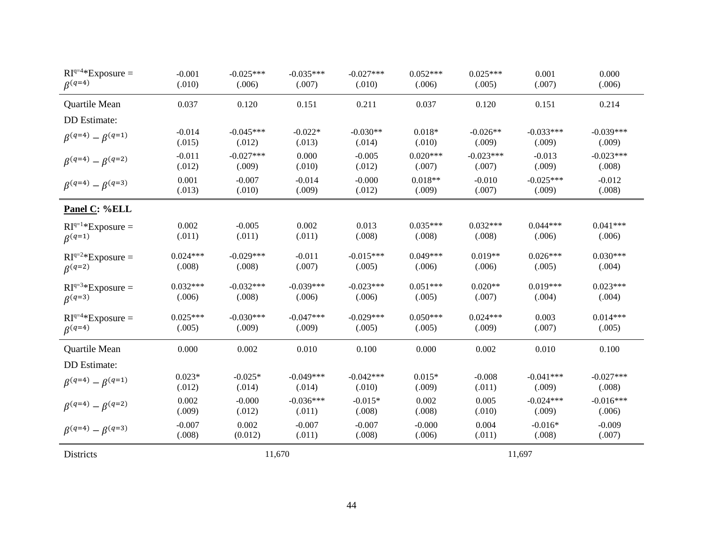| $RI^{q=4*}$ Exposure =          | $-0.001$   | $-0.025***$ | $-0.035***$ | $-0.027***$ | $0.052***$ | $0.025***$  | 0.001       | 0.000       |
|---------------------------------|------------|-------------|-------------|-------------|------------|-------------|-------------|-------------|
| $\beta^{(q=4)}$                 | (.010)     | (.006)      | (.007)      | (.010)      | (.006)     | (.005)      | (.007)      | (.006)      |
| Quartile Mean                   | 0.037      | 0.120       | 0.151       | 0.211       | 0.037      | 0.120       | 0.151       | 0.214       |
| DD Estimate:                    |            |             |             |             |            |             |             |             |
| $\beta^{(q=4)}-\beta^{(q=1)}$   | $-0.014$   | $-0.045***$ | $-0.022*$   | $-0.030**$  | $0.018*$   | $-0.026**$  | $-0.033***$ | $-0.039***$ |
|                                 | (.015)     | (.012)      | (.013)      | (.014)      | (.010)     | (.009)      | (.009)      | (.009)      |
| $\beta^{(q=4)} - \beta^{(q=2)}$ | $-0.011$   | $-0.027***$ | 0.000       | $-0.005$    | $0.020***$ | $-0.023***$ | $-0.013$    | $-0.023***$ |
|                                 | (.012)     | (.009)      | (.010)      | (.012)      | (.007)     | (.007)      | (.009)      | (.008)      |
| $\beta^{(q=4)} - \beta^{(q=3)}$ | 0.001      | $-0.007$    | $-0.014$    | $-0.000$    | $0.018**$  | $-0.010$    | $-0.025***$ | $-0.012$    |
|                                 | (.013)     | (.010)      | (.009)      | (.012)      | (.009)     | (.007)      | (.009)      | (.008)      |
| Panel C: %ELL                   |            |             |             |             |            |             |             |             |
| $RI^{q=1*}$ Exposure =          | 0.002      | $-0.005$    | 0.002       | 0.013       | $0.035***$ | $0.032***$  | $0.044***$  | $0.041***$  |
| $\beta^{(q=1)}$                 | (.011)     | (.011)      | (.011)      | (.008)      | (.008)     | (.008)      | (.006)      | (.006)      |
| $RI^{q=2*}$ Exposure =          | $0.024***$ | $-0.029***$ | $-0.011$    | $-0.015***$ | $0.049***$ | $0.019**$   | $0.026***$  | $0.030***$  |
| $\beta^{(q=2)}$                 | (.008)     | (.008)      | (.007)      | (.005)      | (.006)     | (.006)      | (.005)      | (.004)      |
| $RI^{q=3*}$ Exposure =          | $0.032***$ | $-0.032***$ | $-0.039***$ | $-0.023***$ | $0.051***$ | $0.020**$   | $0.019***$  | $0.023***$  |
| $\beta^{(q=3)}$                 | (.006)     | (.008)      | (.006)      | (.006)      | (.005)     | (.007)      | (.004)      | (.004)      |
| $RI^{q=4*}$ Exposure =          | $0.025***$ | $-0.030***$ | $-0.047***$ | $-0.029***$ | $0.050***$ | $0.024***$  | 0.003       | $0.014***$  |
| $\beta^{(q=4)}$                 | (.005)     | (.009)      | (.009)      | (.005)      | (.005)     | (.009)      | (.007)      | (.005)      |
| Quartile Mean                   | 0.000      | 0.002       | 0.010       | 0.100       | 0.000      | 0.002       | 0.010       | 0.100       |
| <b>DD</b> Estimate:             |            |             |             |             |            |             |             |             |
| $\beta^{(q=4)} - \beta^{(q=1)}$ | $0.023*$   | $-0.025*$   | $-0.049***$ | $-0.042***$ | $0.015*$   | $-0.008$    | $-0.041***$ | $-0.027***$ |
|                                 | (.012)     | (.014)      | (.014)      | (.010)      | (.009)     | (.011)      | (.009)      | (.008)      |
| $\beta^{(q=4)} - \beta^{(q=2)}$ | 0.002      | $-0.000$    | $-0.036***$ | $-0.015*$   | 0.002      | 0.005       | $-0.024***$ | $-0.016***$ |
|                                 | (.009)     | (.012)      | (.011)      | (.008)      | (.008)     | (.010)      | (.009)      | (.006)      |
| $\beta^{(q=4)} - \beta^{(q=3)}$ | $-0.007$   | 0.002       | $-0.007$    | $-0.007$    | $-0.000$   | 0.004       | $-0.016*$   | $-0.009$    |
|                                 | (.008)     | (0.012)     | (.011)      | (.008)      | (.006)     | (.011)      | (.008)      | (.007)      |
| Districts                       |            |             | 11,670      |             |            |             | 11,697      |             |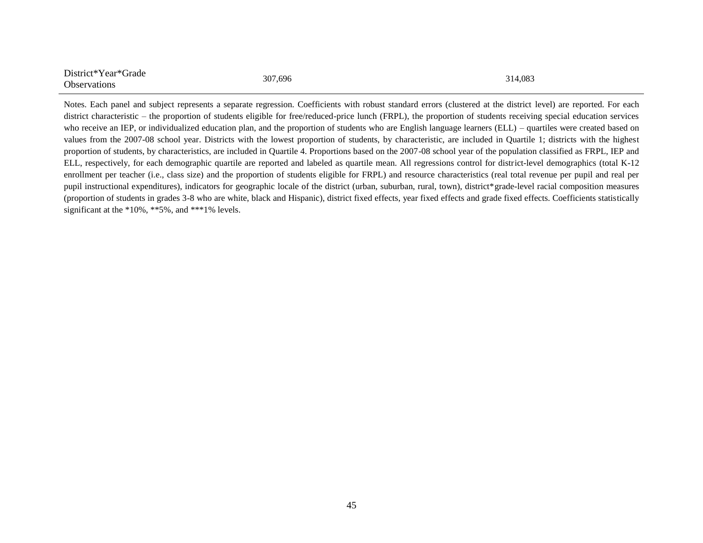| District*Year*Grade | 307,696 | 314,083 |
|---------------------|---------|---------|
| Observations        |         |         |

Notes. Each panel and subject represents a separate regression. Coefficients with robust standard errors (clustered at the district level) are reported. For each district characteristic – the proportion of students eligible for free/reduced-price lunch (FRPL), the proportion of students receiving special education services who receive an IEP, or individualized education plan, and the proportion of students who are English language learners (ELL) – quartiles were created based on values from the 2007-08 school year. Districts with the lowest proportion of students, by characteristic, are included in Quartile 1; districts with the highest proportion of students, by characteristics, are included in Quartile 4. Proportions based on the 2007-08 school year of the population classified as FRPL, IEP and ELL, respectively, for each demographic quartile are reported and labeled as quartile mean. All regressions control for district-level demographics (total K-12 enrollment per teacher (i.e., class size) and the proportion of students eligible for FRPL) and resource characteristics (real total revenue per pupil and real per pupil instructional expenditures), indicators for geographic locale of the district (urban, suburban, rural, town), district\*grade-level racial composition measures (proportion of students in grades 3-8 who are white, black and Hispanic), district fixed effects, year fixed effects and grade fixed effects. Coefficients statistically significant at the \*10%, \*\*5%, and \*\*\*1% levels.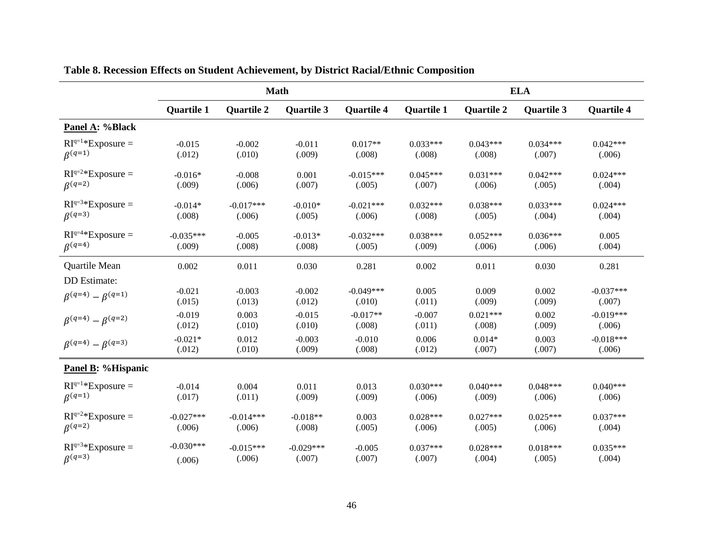|                                 | <b>Math</b>       |                   |                   |                   | <b>ELA</b>        |                   |                   |                   |  |
|---------------------------------|-------------------|-------------------|-------------------|-------------------|-------------------|-------------------|-------------------|-------------------|--|
|                                 | <b>Quartile 1</b> | <b>Quartile 2</b> | <b>Quartile 3</b> | <b>Quartile 4</b> | <b>Quartile 1</b> | <b>Quartile 2</b> | <b>Quartile 3</b> | <b>Quartile 4</b> |  |
| Panel A: %Black                 |                   |                   |                   |                   |                   |                   |                   |                   |  |
| $RIq=1*Exposure =$              | $-0.015$          | $-0.002$          | $-0.011$          | $0.017**$         | $0.033***$        | $0.043***$        | $0.034***$        | $0.042***$        |  |
| $\beta^{(q=1)}$                 | (.012)            | (.010)            | (.009)            | (.008)            | (.008)            | (.008)            | (.007)            | (.006)            |  |
| $RI^{q=2*}$ Exposure =          | $-0.016*$         | $-0.008$          | 0.001             | $-0.015***$       | $0.045***$        | $0.031***$        | $0.042***$        | $0.024***$        |  |
| $\beta^{(q=2)}$                 | (.009)            | (.006)            | (.007)            | (.005)            | (.007)            | (.006)            | (.005)            | (.004)            |  |
| $RI^{q=3*}$ Exposure =          | $-0.014*$         | $-0.017***$       | $-0.010*$         | $-0.021***$       | $0.032***$        | $0.038***$        | $0.033***$        | $0.024***$        |  |
| $\beta^{(q=3)}$                 | (.008)            | (.006)            | (.005)            | (.006)            | (.008)            | (.005)            | (.004)            | (.004)            |  |
| $RI^{q=4*}$ Exposure =          | $-0.035***$       | $-0.005$          | $-0.013*$         | $-0.032***$       | $0.038***$        | $0.052***$        | $0.036***$        | 0.005             |  |
| $\beta^{(q=4)}$                 | (.009)            | (.008)            | (.008)            | (.005)            | (.009)            | (.006)            | (.006)            | (.004)            |  |
| Quartile Mean                   | 0.002             | 0.011             | 0.030             | 0.281             | 0.002             | 0.011             | 0.030             | 0.281             |  |
| DD Estimate:                    |                   |                   |                   |                   |                   |                   |                   |                   |  |
| $\beta^{(q=4)} - \beta^{(q=1)}$ | $-0.021$          | $-0.003$          | $-0.002$          | $-0.049***$       | 0.005             | 0.009             | 0.002             | $-0.037***$       |  |
|                                 | (.015)            | (.013)            | (.012)            | (.010)            | (.011)            | (.009)            | (.009)            | (.007)            |  |
| $\beta^{(q=4)} - \beta^{(q=2)}$ | $-0.019$          | 0.003             | $-0.015$          | $-0.017**$        | $-0.007$          | $0.021***$        | 0.002             | $-0.019***$       |  |
|                                 | (.012)            | (.010)            | (.010)            | (.008)            | (.011)            | (.008)            | (.009)            | (.006)            |  |
| $\beta^{(q=4)} - \beta^{(q=3)}$ | $-0.021*$         | 0.012             | $-0.003$          | $-0.010$          | 0.006             | $0.014*$          | 0.003             | $-0.018***$       |  |
|                                 | (.012)            | (.010)            | (.009)            | (.008)            | (.012)            | (.007)            | (.007)            | (.006)            |  |
| Panel B: %Hispanic              |                   |                   |                   |                   |                   |                   |                   |                   |  |
| $RIq=1*Exposure =$              | $-0.014$          | 0.004             | 0.011             | 0.013             | $0.030***$        | $0.040***$        | $0.048***$        | $0.040***$        |  |
| $\beta^{(q=1)}$                 | (.017)            | (.011)            | (.009)            | (.009)            | (.006)            | (.009)            | (.006)            | (.006)            |  |
| $RI^{q=2*}$ Exposure =          | $-0.027***$       | $-0.014***$       | $-0.018**$        | 0.003             | $0.028***$        | $0.027***$        | $0.025***$        | $0.037***$        |  |
| $\beta^{(q=2)}$                 | (.006)            | (.006)            | (.008)            | (.005)            | (.006)            | (.005)            | (.006)            | (.004)            |  |
| $RI^{q=3*}$ Exposure =          | $-0.030***$       | $-0.015***$       | $-0.029***$       | $-0.005$          | $0.037***$        | $0.028***$        | $0.018***$        | $0.035***$        |  |
| $\beta^{(q=3)}$                 | (.006)            | (.006)            | (.007)            | (.007)            | (.007)            | (.004)            | (.005)            | (.004)            |  |

## **Table 8. Recession Effects on Student Achievement, by District Racial/Ethnic Composition**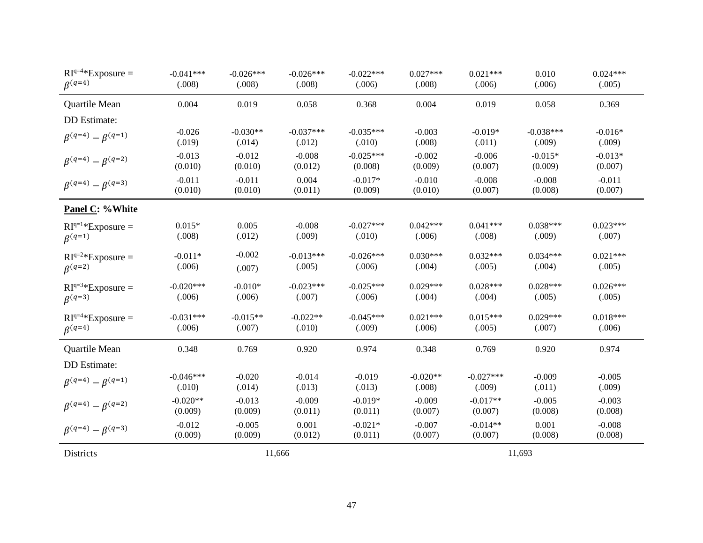| $RI^{q=4*}$ Exposure =          | $-0.041***$ | $-0.026***$ | $-0.026***$ | $-0.022***$ | $0.027***$ | $0.021***$  | 0.010       | $0.024***$ |
|---------------------------------|-------------|-------------|-------------|-------------|------------|-------------|-------------|------------|
| $\beta^{(q=4)}$                 | (.008)      | (.008)      | (.008)      | (.006)      | (.008)     | (.006)      | (.006)      | (.005)     |
| Quartile Mean                   | 0.004       | 0.019       | 0.058       | 0.368       | 0.004      | 0.019       | 0.058       | 0.369      |
| DD Estimate:                    |             |             |             |             |            |             |             |            |
| $\beta^{(q=4)} - \beta^{(q=1)}$ | $-0.026$    | $-0.030**$  | $-0.037***$ | $-0.035***$ | $-0.003$   | $-0.019*$   | $-0.038***$ | $-0.016*$  |
|                                 | (.019)      | (.014)      | (.012)      | (.010)      | (.008)     | (.011)      | (.009)      | (.009)     |
| $\beta^{(q=4)} - \beta^{(q=2)}$ | $-0.013$    | $-0.012$    | $-0.008$    | $-0.025***$ | $-0.002$   | $-0.006$    | $-0.015*$   | $-0.013*$  |
|                                 | (0.010)     | (0.010)     | (0.012)     | (0.008)     | (0.009)    | (0.007)     | (0.009)     | (0.007)    |
| $\beta^{(q=4)} - \beta^{(q=3)}$ | $-0.011$    | $-0.011$    | 0.004       | $-0.017*$   | $-0.010$   | $-0.008$    | $-0.008$    | $-0.011$   |
|                                 | (0.010)     | (0.010)     | (0.011)     | (0.009)     | (0.010)    | (0.007)     | (0.008)     | (0.007)    |
| Panel C: %White                 |             |             |             |             |            |             |             |            |
| $RI^{q=1*}$ Exposure =          | $0.015*$    | 0.005       | $-0.008$    | $-0.027***$ | $0.042***$ | $0.041***$  | $0.038***$  | $0.023***$ |
| $\beta^{(q=1)}$                 | (.008)      | (.012)      | (.009)      | (.010)      | (.006)     | (.008)      | (.009)      | (.007)     |
| $RI^{q=2*}$ Exposure =          | $-0.011*$   | $-0.002$    | $-0.013***$ | $-0.026***$ | $0.030***$ | $0.032***$  | $0.034***$  | $0.021***$ |
| $\beta^{(q=2)}$                 | (.006)      | (.007)      | (.005)      | (.006)      | (.004)     | (.005)      | (.004)      | (.005)     |
| $RI^{q=3*}$ Exposure =          | $-0.020***$ | $-0.010*$   | $-0.023***$ | $-0.025***$ | $0.029***$ | $0.028***$  | $0.028***$  | $0.026***$ |
| $\beta^{(q=3)}$                 | (.006)      | (.006)      | (.007)      | (.006)      | (.004)     | (.004)      | (.005)      | (.005)     |
| $RI^{q=4*}$ Exposure =          | $-0.031***$ | $-0.015**$  | $-0.022**$  | $-0.045***$ | $0.021***$ | $0.015***$  | $0.029***$  | $0.018***$ |
| $\beta^{(q=4)}$                 | (.006)      | (.007)      | (.010)      | (.009)      | (.006)     | (.005)      | (.007)      | (.006)     |
| Quartile Mean                   | 0.348       | 0.769       | 0.920       | 0.974       | 0.348      | 0.769       | 0.920       | 0.974      |
| DD Estimate:                    |             |             |             |             |            |             |             |            |
| $\beta^{(q=4)} - \beta^{(q=1)}$ | $-0.046***$ | $-0.020$    | $-0.014$    | $-0.019$    | $-0.020**$ | $-0.027***$ | $-0.009$    | $-0.005$   |
|                                 | (.010)      | (.014)      | (.013)      | (.013)      | (.008)     | (.009)      | (.011)      | (.009)     |
| $\beta^{(q=4)} - \beta^{(q=2)}$ | $-0.020**$  | $-0.013$    | $-0.009$    | $-0.019*$   | $-0.009$   | $-0.017**$  | $-0.005$    | $-0.003$   |
|                                 | (0.009)     | (0.009)     | (0.011)     | (0.011)     | (0.007)    | (0.007)     | (0.008)     | (0.008)    |
| $\beta^{(q=4)} - \beta^{(q=3)}$ | $-0.012$    | $-0.005$    | 0.001       | $-0.021*$   | $-0.007$   | $-0.014**$  | 0.001       | $-0.008$   |
|                                 | (0.009)     | (0.009)     | (0.012)     | (0.011)     | (0.007)    | (0.007)     | (0.008)     | (0.008)    |
| Districts                       |             |             | 11,666      |             |            |             | 11,693      |            |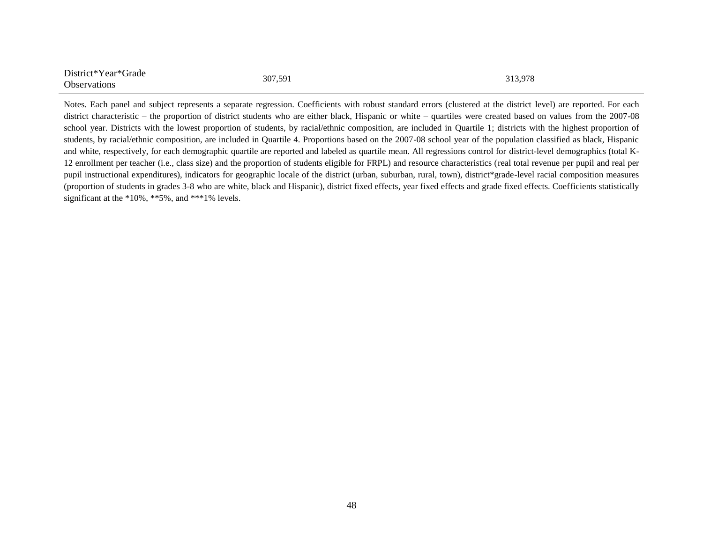| District*Year*Grade | 307,591 | 313,978 |
|---------------------|---------|---------|
| <b>Observations</b> |         |         |

Notes. Each panel and subject represents a separate regression. Coefficients with robust standard errors (clustered at the district level) are reported. For each district characteristic – the proportion of district students who are either black, Hispanic or white – quartiles were created based on values from the 2007-08 school year. Districts with the lowest proportion of students, by racial/ethnic composition, are included in Quartile 1; districts with the highest proportion of students, by racial/ethnic composition, are included in Quartile 4. Proportions based on the 2007-08 school year of the population classified as black, Hispanic and white, respectively, for each demographic quartile are reported and labeled as quartile mean. All regressions control for district-level demographics (total K-12 enrollment per teacher (i.e., class size) and the proportion of students eligible for FRPL) and resource characteristics (real total revenue per pupil and real per pupil instructional expenditures), indicators for geographic locale of the district (urban, suburban, rural, town), district\*grade-level racial composition measures (proportion of students in grades 3-8 who are white, black and Hispanic), district fixed effects, year fixed effects and grade fixed effects. Coefficients statistically significant at the \*10%, \*\*5%, and \*\*\*1% levels.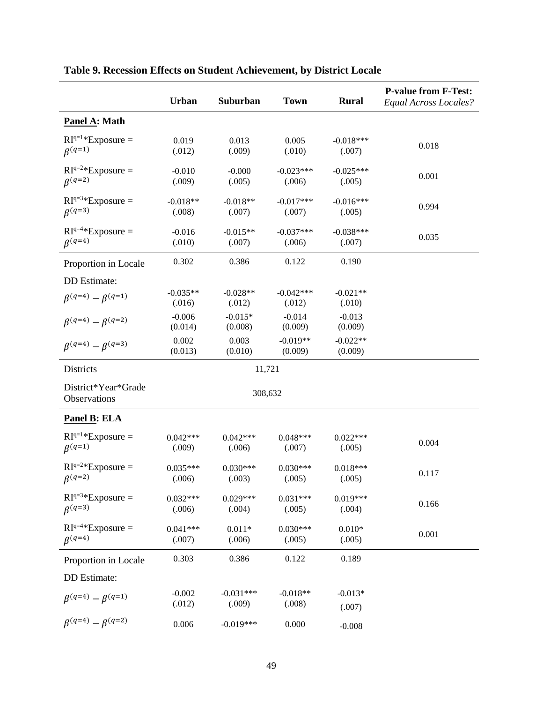|                                           | Urban                | Suburban              | <b>Town</b>           | <b>Rural</b>          | <b>P-value from F-Test:</b><br>Equal Across Locales? |
|-------------------------------------------|----------------------|-----------------------|-----------------------|-----------------------|------------------------------------------------------|
| Panel A: Math                             |                      |                       |                       |                       |                                                      |
| $RI^{q=1*}$ Exposure =<br>$\beta^{(q=1)}$ | 0.019<br>(.012)      | 0.013<br>(.009)       | 0.005<br>(.010)       | $-0.018***$<br>(.007) | 0.018                                                |
| $RI^{q=2*}$ Exposure =<br>$\beta^{(q=2)}$ | $-0.010$<br>(.009)   | $-0.000$<br>(.005)    | $-0.023***$<br>(.006) | $-0.025***$<br>(.005) | 0.001                                                |
| $RI^{q=3*}$ Exposure =<br>$\beta^{(q=3)}$ | $-0.018**$<br>(.008) | $-0.018**$<br>(.007)  | $-0.017***$<br>(.007) | $-0.016***$<br>(.005) | 0.994                                                |
| $RIq=4*Exposure =$<br>$\beta^{(q=4)}$     | $-0.016$<br>(.010)   | $-0.015**$<br>(.007)  | $-0.037***$<br>(.006) | $-0.038***$<br>(.007) | 0.035                                                |
| Proportion in Locale                      | 0.302                | 0.386                 | 0.122                 | 0.190                 |                                                      |
| DD Estimate:                              |                      |                       |                       |                       |                                                      |
| $\beta^{(q=4)} - \beta^{(q=1)}$           | $-0.035**$<br>(.016) | $-0.028**$<br>(.012)  | $-0.042***$<br>(.012) | $-0.021**$<br>(.010)  |                                                      |
| $\beta^{(q=4)} - \beta^{(q=2)}$           | $-0.006$<br>(0.014)  | $-0.015*$<br>(0.008)  | $-0.014$<br>(0.009)   | $-0.013$<br>(0.009)   |                                                      |
| $\beta^{(q=4)} - \beta^{(q=3)}$           | 0.002<br>(0.013)     | 0.003<br>(0.010)      | $-0.019**$<br>(0.009) | $-0.022**$<br>(0.009) |                                                      |
| Districts                                 |                      | 11,721                |                       |                       |                                                      |
| District*Year*Grade<br>Observations       |                      | 308,632               |                       |                       |                                                      |
| <b>Panel B: ELA</b>                       |                      |                       |                       |                       |                                                      |
| $RI^{q=1*}$ Exposure =<br>$\beta^{(q=1)}$ | $0.042***$<br>(.009) | $0.042***$<br>(.006)  | $0.048***$<br>(.007)  | $0.022***$<br>(.005)  | 0.004                                                |
| $RI^{q=2*}$ Exposure =<br>$\beta^{(q=2)}$ | $0.035***$<br>(.006) | $0.030***$<br>(.003)  | $0.030***$<br>(.005)  | $0.018***$<br>(.005)  | 0.117                                                |
| $RI^{q=3*}$ Exposure =<br>$\beta^{(q=3)}$ | $0.032***$<br>(.006) | $0.029***$<br>(.004)  | $0.031***$<br>(.005)  | $0.019***$<br>(.004)  | 0.166                                                |
| $RI^{q=4*}$ Exposure =<br>$\beta^{(q=4)}$ | $0.041***$<br>(.007) | $0.011*$<br>(.006)    | $0.030***$<br>(.005)  | $0.010*$<br>(.005)    | 0.001                                                |
| Proportion in Locale                      | 0.303                | 0.386                 | 0.122                 | 0.189                 |                                                      |
| DD Estimate:                              |                      |                       |                       |                       |                                                      |
| $\beta^{(q=4)} - \beta^{(q=1)}$           | $-0.002$<br>(.012)   | $-0.031***$<br>(.009) | $-0.018**$<br>(.008)  | $-0.013*$<br>(.007)   |                                                      |
| $\beta^{(q=4)} - \beta^{(q=2)}$           | 0.006                | $-0.019***$           | 0.000                 | $-0.008$              |                                                      |

## **Table 9. Recession Effects on Student Achievement, by District Locale**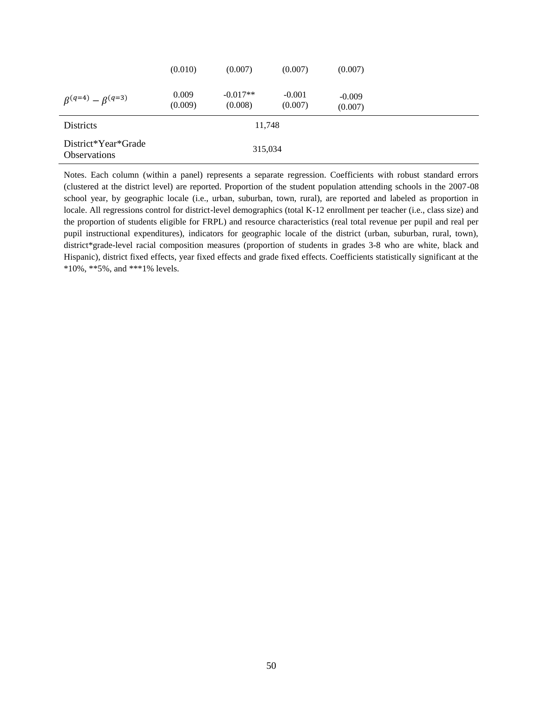|                                            | (0.010)          | (0.007)               | (0.007)             | (0.007)             |  |
|--------------------------------------------|------------------|-----------------------|---------------------|---------------------|--|
| $\beta^{(q=4)} - \beta^{(q=3)}$            | 0.009<br>(0.009) | $-0.017**$<br>(0.008) | $-0.001$<br>(0.007) | $-0.009$<br>(0.007) |  |
| <b>Districts</b>                           |                  | 11,748                |                     |                     |  |
| District*Year*Grade<br><b>Observations</b> |                  | 315,034               |                     |                     |  |

Notes. Each column (within a panel) represents a separate regression. Coefficients with robust standard errors (clustered at the district level) are reported. Proportion of the student population attending schools in the 2007-08 school year, by geographic locale (i.e., urban, suburban, town, rural), are reported and labeled as proportion in locale. All regressions control for district-level demographics (total K-12 enrollment per teacher (i.e., class size) and the proportion of students eligible for FRPL) and resource characteristics (real total revenue per pupil and real per pupil instructional expenditures), indicators for geographic locale of the district (urban, suburban, rural, town), district\*grade-level racial composition measures (proportion of students in grades 3-8 who are white, black and Hispanic), district fixed effects, year fixed effects and grade fixed effects. Coefficients statistically significant at the \*10%, \*\*5%, and \*\*\*1% levels.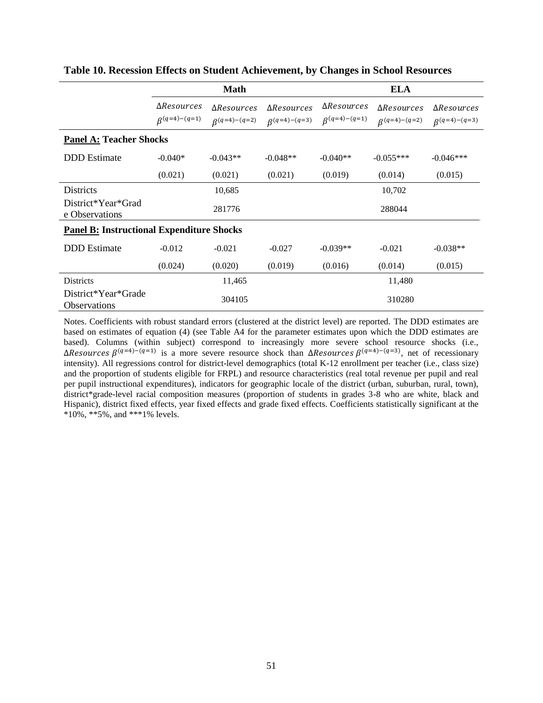|                                                  |                                             | <b>Math</b>                                 |                                             | <b>ELA</b>                                  |                                             |                                             |  |
|--------------------------------------------------|---------------------------------------------|---------------------------------------------|---------------------------------------------|---------------------------------------------|---------------------------------------------|---------------------------------------------|--|
|                                                  | $\Delta Resources$<br>$\beta^{(q=4)-(q=1)}$ | $\Delta Resources$<br>$\beta^{(q=4)-(q=2)}$ | $\Delta Resources$<br>$\beta^{(q=4)-(q=3)}$ | $\Delta Resources$<br>$\beta^{(q=4)-(q=1)}$ | $\Delta Resources$<br>$\beta^{(q=4)-(q=2)}$ | $\Delta Resources$<br>$\beta^{(q=4)-(q=3)}$ |  |
| <b>Panel A: Teacher Shocks</b>                   |                                             |                                             |                                             |                                             |                                             |                                             |  |
| <b>DDD</b> Estimate                              | $-0.040*$                                   | $-0.043**$                                  | $-0.048**$                                  | $-0.040**$                                  | $-0.055***$                                 | $-0.046***$                                 |  |
|                                                  | (0.021)                                     | (0.021)                                     | (0.021)                                     | (0.019)                                     | (0.014)                                     | (0.015)                                     |  |
| Districts                                        |                                             | 10,685                                      |                                             |                                             | 10,702                                      |                                             |  |
| District*Year*Grad<br>e Observations             |                                             | 281776                                      |                                             |                                             | 288044                                      |                                             |  |
| <b>Panel B: Instructional Expenditure Shocks</b> |                                             |                                             |                                             |                                             |                                             |                                             |  |
| <b>DDD</b> Estimate                              | $-0.012$                                    | $-0.021$                                    | $-0.027$                                    | $-0.039**$                                  | $-0.021$                                    | $-0.038**$                                  |  |
|                                                  | (0.024)                                     | (0.020)                                     | (0.019)                                     | (0.016)                                     | (0.014)                                     | (0.015)                                     |  |
| <b>Districts</b>                                 |                                             | 11,465                                      |                                             |                                             | 11,480                                      |                                             |  |
| District*Year*Grade<br><b>Observations</b>       |                                             | 304105                                      |                                             |                                             | 310280                                      |                                             |  |

#### **Table 10. Recession Effects on Student Achievement, by Changes in School Resources**

Notes. Coefficients with robust standard errors (clustered at the district level) are reported. The DDD estimates are based on estimates of equation (4) (see Table A4 for the parameter estimates upon which the DDD estimates are based). Columns (within subject) correspond to increasingly more severe school resource shocks (i.e., ΔResources β<sup>(q=4)-(q=1)</sup> is a more severe resource shock than ΔResources β<sup>(q=4)-(q=3)</sup>, net of recessionary intensity). All regressions control for district-level demographics (total K-12 enrollment per teacher (i.e., class size) and the proportion of students eligible for FRPL) and resource characteristics (real total revenue per pupil and real per pupil instructional expenditures), indicators for geographic locale of the district (urban, suburban, rural, town), district\*grade-level racial composition measures (proportion of students in grades 3-8 who are white, black and Hispanic), district fixed effects, year fixed effects and grade fixed effects. Coefficients statistically significant at the \*10%, \*\*5%, and \*\*\*1% levels.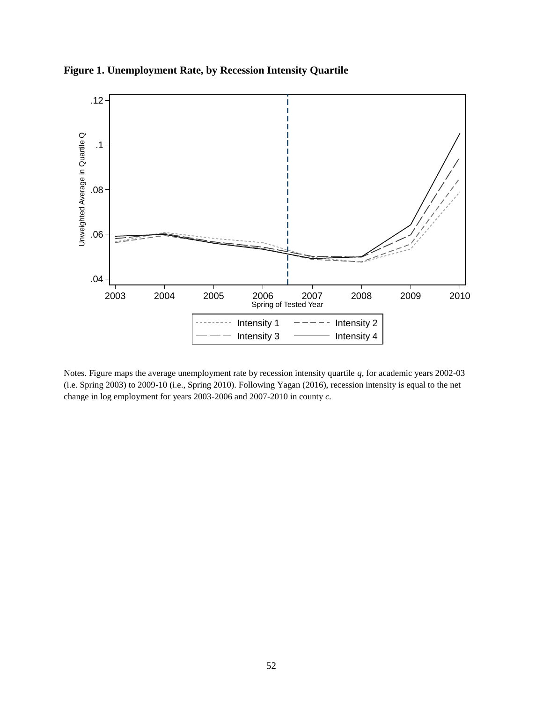

**Figure 1. Unemployment Rate, by Recession Intensity Quartile**

Notes. Figure maps the average unemployment rate by recession intensity quartile *q,* for academic years 2002-03 (i.e. Spring 2003) to 2009-10 (i.e., Spring 2010). Following Yagan (2016), recession intensity is equal to the net change in log employment for years 2003-2006 and 2007-2010 in county *c.*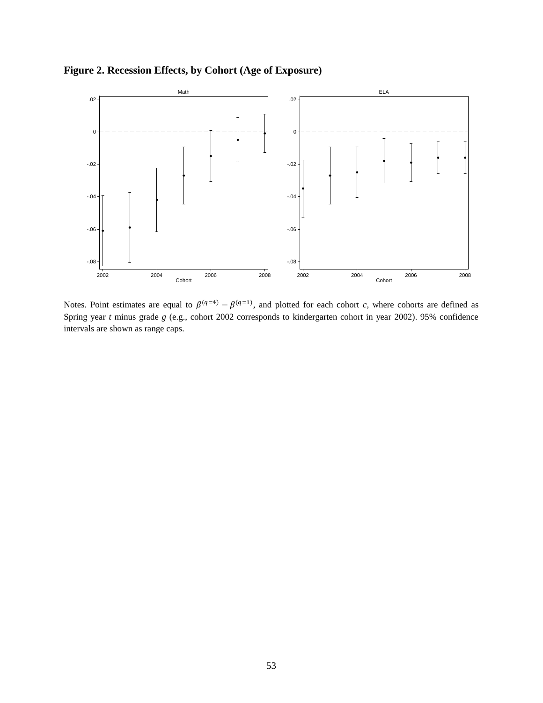**Figure 2. Recession Effects, by Cohort (Age of Exposure)**



Notes. Point estimates are equal to  $\beta^{(q=4)} - \beta^{(q=1)}$ , and plotted for each cohort *c*, where cohorts are defined as Spring year *t* minus grade *g* (e.g., cohort 2002 corresponds to kindergarten cohort in year 2002). 95% confidence intervals are shown as range caps.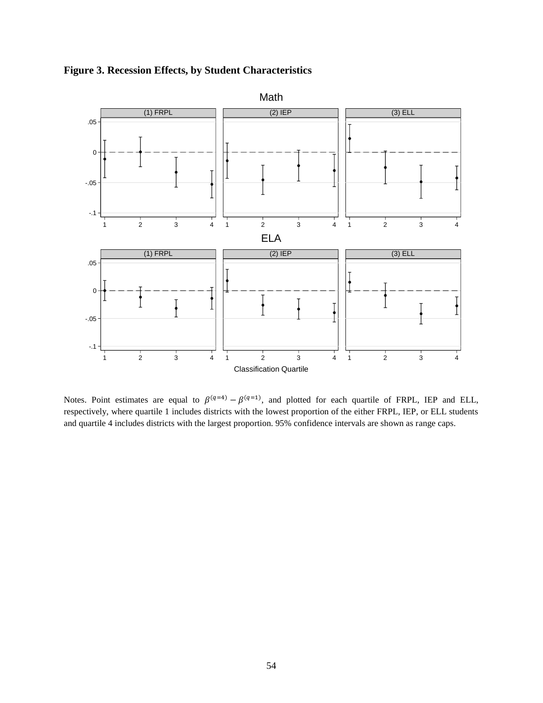

**Figure 3. Recession Effects, by Student Characteristics**

Notes. Point estimates are equal to  $\beta^{(q=4)} - \beta^{(q=1)}$ , and plotted for each quartile of FRPL, IEP and ELL, respectively, where quartile 1 includes districts with the lowest proportion of the either FRPL, IEP, or ELL students and quartile 4 includes districts with the largest proportion. 95% confidence intervals are shown as range caps.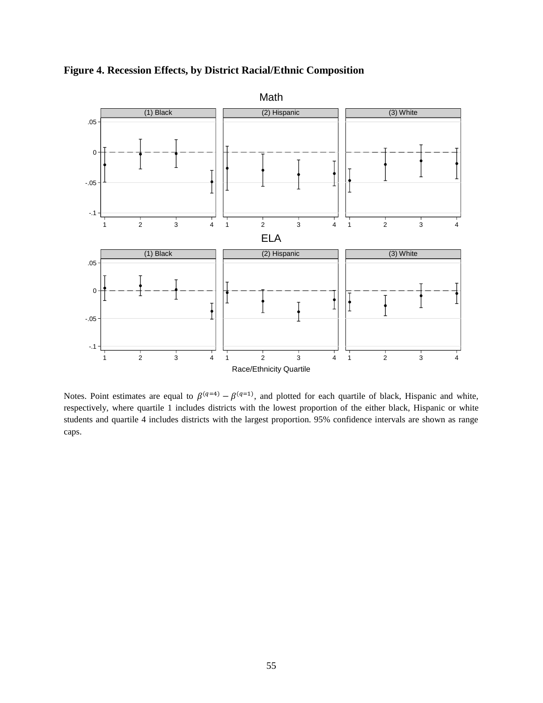

**Figure 4. Recession Effects, by District Racial/Ethnic Composition** 

Notes. Point estimates are equal to  $\beta^{(q=4)} - \beta^{(q=1)}$ , and plotted for each quartile of black, Hispanic and white, respectively, where quartile 1 includes districts with the lowest proportion of the either black, Hispanic or white students and quartile 4 includes districts with the largest proportion. 95% confidence intervals are shown as range caps.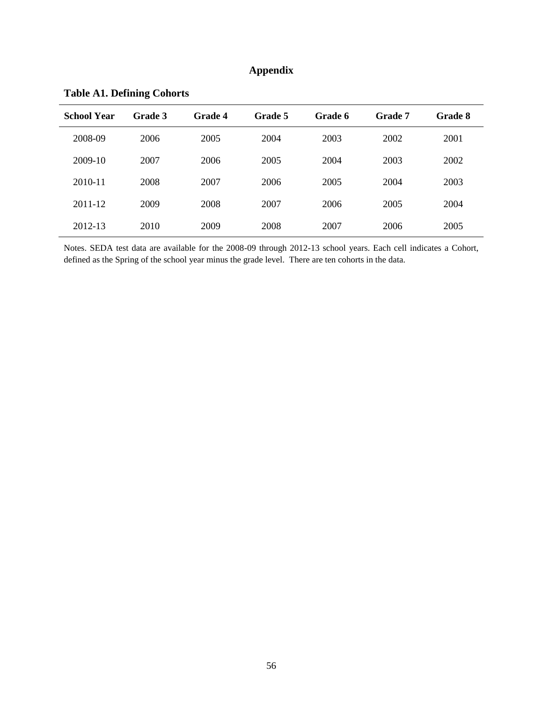### **Appendix**

| <b>School Year</b> | Grade 3 | <b>Grade 4</b> | Grade 5 | Grade 6 | Grade 7 | <b>Grade 8</b> |
|--------------------|---------|----------------|---------|---------|---------|----------------|
| 2008-09            | 2006    | 2005           | 2004    | 2003    | 2002    | 2001           |
| 2009-10            | 2007    | 2006           | 2005    | 2004    | 2003    | 2002           |
| 2010-11            | 2008    | 2007           | 2006    | 2005    | 2004    | 2003           |
| 2011-12            | 2009    | 2008           | 2007    | 2006    | 2005    | 2004           |
| 2012-13            | 2010    | 2009           | 2008    | 2007    | 2006    | 2005           |

**Table A1. Defining Cohorts** 

Notes. SEDA test data are available for the 2008-09 through 2012-13 school years. Each cell indicates a Cohort, defined as the Spring of the school year minus the grade level. There are ten cohorts in the data.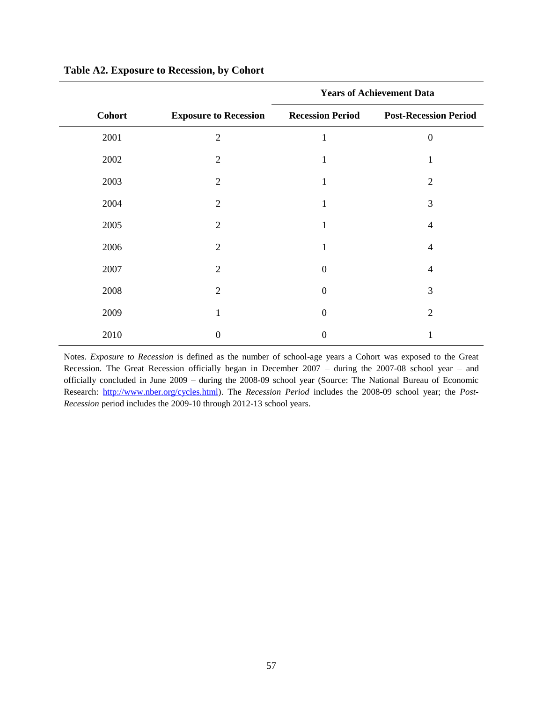|               |                              | <b>Years of Achievement Data</b> |                              |  |
|---------------|------------------------------|----------------------------------|------------------------------|--|
| <b>Cohort</b> | <b>Exposure to Recession</b> | <b>Recession Period</b>          | <b>Post-Recession Period</b> |  |
| 2001          | $\overline{2}$               | 1                                | $\overline{0}$               |  |
| 2002          | 2                            | 1                                | 1                            |  |
| 2003          | $\overline{2}$               | 1                                | $\overline{2}$               |  |
| 2004          | $\overline{2}$               | 1                                | 3                            |  |
| 2005          | $\overline{2}$               | 1                                | $\overline{4}$               |  |
| 2006          | $\overline{2}$               |                                  | 4                            |  |
| 2007          | 2                            | $\theta$                         | 4                            |  |
| 2008          | $\overline{2}$               | $\theta$                         | 3                            |  |
| 2009          |                              | $\Omega$                         | $\overline{2}$               |  |
| 2010          | 0                            | $\Omega$                         |                              |  |

#### **Table A2. Exposure to Recession, by Cohort**

Notes. *Exposure to Recession* is defined as the number of school-age years a Cohort was exposed to the Great Recession. The Great Recession officially began in December 2007 – during the 2007-08 school year – and officially concluded in June 2009 – during the 2008-09 school year (Source: The National Bureau of Economic Research: [http://www.nber.org/cycles.html\)](http://www.nber.org/cycles.html). The *Recession Period* includes the 2008-09 school year; the *Post-Recession* period includes the 2009-10 through 2012-13 school years.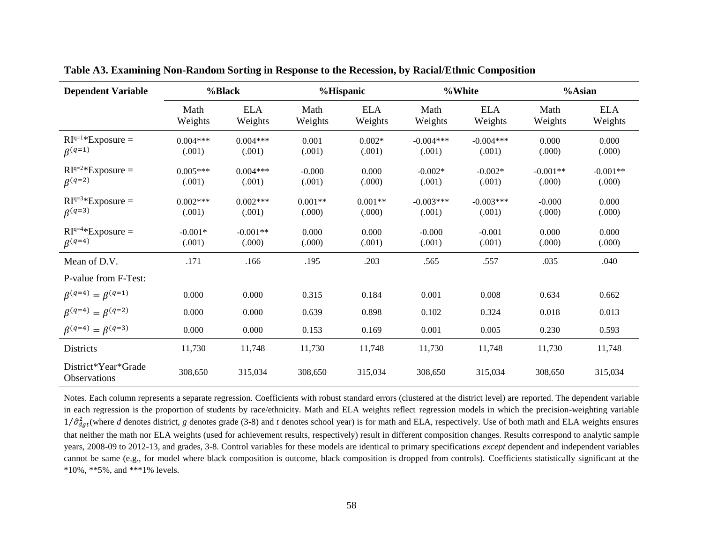| <b>Dependent Variable</b>                  |                      | %Black                |                     | %Hispanic             |                       | %White                |                      | %Asian                |
|--------------------------------------------|----------------------|-----------------------|---------------------|-----------------------|-----------------------|-----------------------|----------------------|-----------------------|
|                                            | Math<br>Weights      | <b>ELA</b><br>Weights | Math<br>Weights     | <b>ELA</b><br>Weights | Math<br>Weights       | <b>ELA</b><br>Weights | Math<br>Weights      | <b>ELA</b><br>Weights |
| $RI^{q=1*}$ Exposure =<br>$\beta^{(q=1)}$  | $0.004***$<br>(.001) | $0.004***$<br>(.001)  | 0.001<br>(.001)     | $0.002*$<br>(.001)    | $-0.004***$<br>(.001) | $-0.004***$<br>(.001) | 0.000<br>(.000)      | 0.000<br>(.000)       |
| $RI^{q=2*}$ Exposure =<br>$\beta^{(q=2)}$  | $0.005***$<br>(.001) | $0.004***$<br>(.001)  | $-0.000$<br>(.001)  | 0.000<br>(.000)       | $-0.002*$<br>(.001)   | $-0.002*$<br>(.001)   | $-0.001**$<br>(.000) | $-0.001**$<br>(.000)  |
| $RI^{q=3*}$ Exposure =<br>$\beta^{(q=3)}$  | $0.002***$<br>(.001) | $0.002***$<br>(.001)  | $0.001**$<br>(.000) | $0.001**$<br>(.000)   | $-0.003***$<br>(.001) | $-0.003***$<br>(.001) | $-0.000$<br>(.000)   | 0.000<br>(.000)       |
| $RI^{q=4*}$ Exposure =<br>$\beta^{(q=4)}$  | $-0.001*$<br>(.001)  | $-0.001**$<br>(.000)  | 0.000<br>(.000)     | 0.000<br>(.001)       | $-0.000$<br>(.001)    | $-0.001$<br>(.001)    | 0.000<br>(.000)      | 0.000<br>(.000)       |
| Mean of D.V.                               | .171                 | .166                  | .195                | .203                  | .565                  | .557                  | .035                 | .040                  |
| P-value from F-Test:                       |                      |                       |                     |                       |                       |                       |                      |                       |
| $\beta^{(q=4)} = \beta^{(q=1)}$            | 0.000                | 0.000                 | 0.315               | 0.184                 | 0.001                 | 0.008                 | 0.634                | 0.662                 |
| $\beta^{(q=4)} = \beta^{(q=2)}$            | 0.000                | 0.000                 | 0.639               | 0.898                 | 0.102                 | 0.324                 | 0.018                | 0.013                 |
| $\beta^{(q=4)} = \beta^{(q=3)}$            | 0.000                | 0.000                 | 0.153               | 0.169                 | 0.001                 | 0.005                 | 0.230                | 0.593                 |
| Districts                                  | 11,730               | 11,748                | 11,730              | 11,748                | 11,730                | 11,748                | 11,730               | 11,748                |
| District*Year*Grade<br><b>Observations</b> | 308,650              | 315,034               | 308,650             | 315,034               | 308,650               | 315,034               | 308,650              | 315,034               |

**Table A3. Examining Non-Random Sorting in Response to the Recession, by Racial/Ethnic Composition** 

Notes. Each column represents a separate regression. Coefficients with robust standard errors (clustered at the district level) are reported. The dependent variable in each regression is the proportion of students by race/ethnicity. Math and ELA weights reflect regression models in which the precision-weighting variable  $1/\hat{\sigma}_{dgt}^2$  (where *d* denotes district, *g* denotes grade (3-8) and *t* denotes school year) is for math and ELA, respectively. Use of both math and ELA weights ensures that neither the math nor ELA weights (used for achievement results, respectively) result in different composition changes. Results correspond to analytic sample years, 2008-09 to 2012-13, and grades, 3-8. Control variables for these models are identical to primary specifications *except* dependent and independent variables cannot be same (e.g., for model where black composition is outcome, black composition is dropped from controls). Coefficients statistically significant at the \*10%, \*\*5%, and \*\*\*1% levels.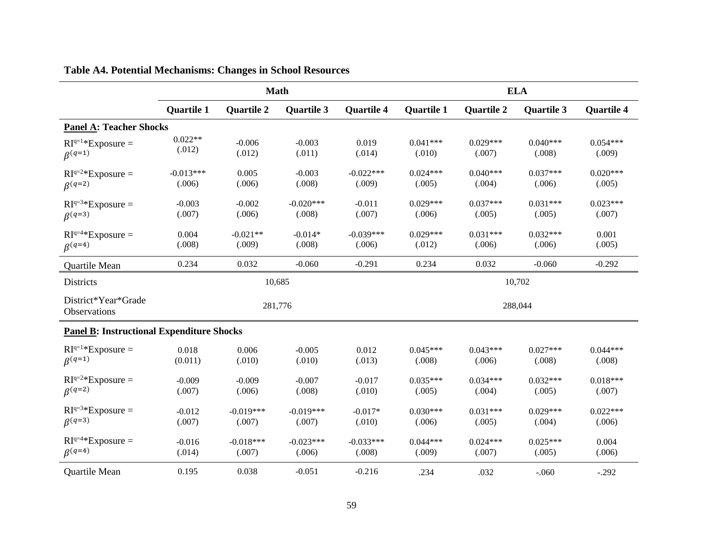|                                                  | <b>Math</b>       |                   |                   |                   | <b>ELA</b>        |                   |                   |                   |
|--------------------------------------------------|-------------------|-------------------|-------------------|-------------------|-------------------|-------------------|-------------------|-------------------|
|                                                  | <b>Quartile 1</b> | <b>Quartile 2</b> | <b>Quartile 3</b> | <b>Quartile 4</b> | <b>Quartile 1</b> | <b>Quartile 2</b> | <b>Quartile 3</b> | <b>Quartile 4</b> |
| <b>Panel A: Teacher Shocks</b>                   |                   |                   |                   |                   |                   |                   |                   |                   |
| $RIq=1*Exposure =$                               | $0.022**$         | $-0.006$          | $-0.003$          | 0.019             | $0.041***$        | $0.029***$        | $0.040***$        | $0.054***$        |
| $\beta^{(q=1)}$                                  | (.012)            | (.012)            | (.011)            | (.014)            | (.010)            | (.007)            | (.008)            | (.009)            |
| $RI^{q=2*}$ Exposure =                           | $-0.013***$       | 0.005             | $-0.003$          | $-0.022***$       | $0.024***$        | $0.040***$        | $0.037***$        | $0.020***$        |
| $\beta^{(q=2)}$                                  | (.006)            | (.006)            | (.008)            | (.009)            | (.005)            | (.004)            | (.006)            | (.005)            |
| $RI^{q=3*}$ Exposure =                           | $-0.003$          | $-0.002$          | $-0.020***$       | $-0.011$          | $0.029***$        | $0.037***$        | $0.031***$        | $0.023***$        |
| $\beta^{(q=3)}$                                  | (.007)            | (.006)            | (.008)            | (.007)            | (.006)            | (.005)            | (.005)            | (.007)            |
| $RI^{q=4*}$ Exposure =                           | 0.004             | $-0.021**$        | $-0.014*$         | $-0.039***$       | $0.029***$        | $0.031***$        | $0.032***$        | 0.001             |
| $\beta^{(q=4)}$                                  | (.008)            | (.009)            | (.008)            | (.006)            | (.012)            | (.006)            | (.006)            | (.005)            |
| Quartile Mean                                    | 0.234             | 0.032             | $-0.060$          | $-0.291$          | 0.234             | 0.032             | $-0.060$          | $-0.292$          |
| Districts                                        |                   |                   | 10,685            |                   |                   |                   | 10,702            |                   |
| District*Year*Grade<br>Observations              |                   |                   | 281,776           |                   | 288,044           |                   |                   |                   |
| <b>Panel B: Instructional Expenditure Shocks</b> |                   |                   |                   |                   |                   |                   |                   |                   |
| $RI^{q=1*}$ Exposure =                           | 0.018             | 0.006             | $-0.005$          | 0.012             | $0.045***$        | $0.043***$        | $0.027***$        | $0.044***$        |
| $\beta^{(q=1)}$                                  | (0.011)           | (.010)            | (.010)            | (.013)            | (.008)            | (.006)            | (.008)            | (.008)            |
| $RI^{q=2*}$ Exposure =                           | $-0.009$          | $-0.009$          | $-0.007$          | $-0.017$          | $0.035***$        | $0.034***$        | $0.032***$        | $0.018***$        |
| $\beta^{(q=2)}$                                  | (.007)            | (.006)            | (.008)            | (.010)            | (.005)            | (.004)            | (.005)            | (.007)            |
| $RI^{q=3*}$ Exposure =                           | $-0.012$          | $-0.019***$       | $-0.019***$       | $-0.017*$         | $0.030***$        | $0.031***$        | $0.029***$        | $0.022***$        |
| $\beta^{(q=3)}$                                  | (.007)            | (.007)            | (.007)            | (.010)            | (.006)            | (.005)            | (.004)            | (.006)            |
| $RI^{q=4*}$ Exposure =                           | $-0.016$          | $-0.018***$       | $-0.023***$       | $-0.033***$       | $0.044***$        | $0.024***$        | $0.025***$        | 0.004             |
| $\beta^{(q=4)}$                                  | (.014)            | (.007)            | (.006)            | (.008)            | (.009)            | (.007)            | (.005)            | (.006)            |
| Quartile Mean                                    | 0.195             | 0.038             | $-0.051$          | $-0.216$          | .234              | .032              | $-.060$           | $-.292$           |

## **Table A4. Potential Mechanisms: Changes in School Resources**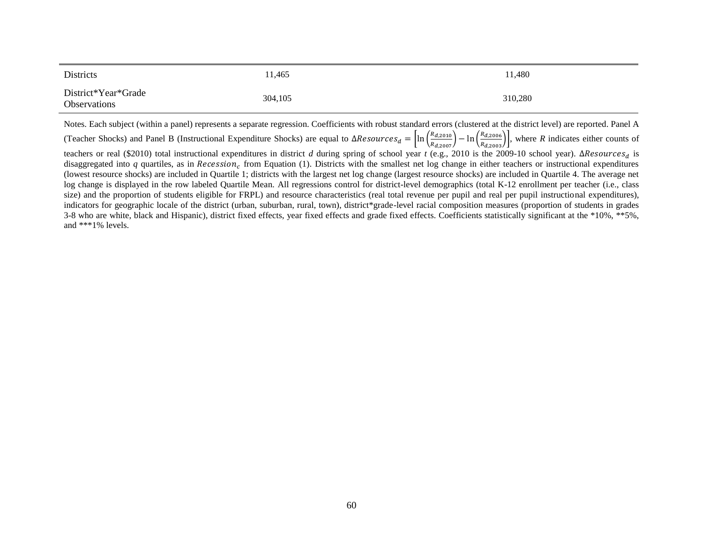| <b>Districts</b>                           | 11,465  | 11.480  |
|--------------------------------------------|---------|---------|
| District*Year*Grade<br><b>Observations</b> | 304,105 | 310,280 |

Notes. Each subject (within a panel) represents a separate regression. Coefficients with robust standard errors (clustered at the district level) are reported. Panel A (Teacher Shocks) and Panel B (Instructional Expenditure Shocks) are equal to  $\Delta Resources_d = \left[ln\left(\frac{R_{d,2010}}{R_{d,2007}}\right) - ln\left(\frac{R_{d,2006}}{R_{d,2003}}\right)\right]$ , where *R* indicates either counts of teachers or real (\$2010) total instructional expenditures in district *d* during spring of school year *t* (e.g., 2010 is the 2009-10 school year). ΔResources<sub>d</sub> is disaggregated into  $q$  quartiles, as in Recession<sub>c</sub> from Equation (1). Districts with the smallest net log change in either teachers or instructional expenditures (lowest resource shocks) are included in Quartile 1; districts with the largest net log change (largest resource shocks) are included in Quartile 4. The average net log change is displayed in the row labeled Quartile Mean. All regressions control for district-level demographics (total K-12 enrollment per teacher (i.e., class size) and the proportion of students eligible for FRPL) and resource characteristics (real total revenue per pupil and real per pupil instructional expenditures), indicators for geographic locale of the district (urban, suburban, rural, town), district\*grade-level racial composition measures (proportion of students in grades 3-8 who are white, black and Hispanic), district fixed effects, year fixed effects and grade fixed effects. Coefficients statistically significant at the \*10%, \*\*5%, and \*\*\*1% levels.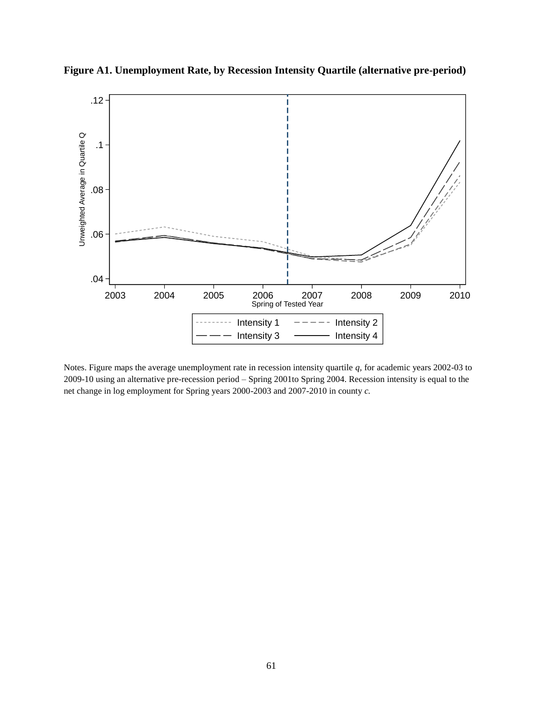

**Figure A1. Unemployment Rate, by Recession Intensity Quartile (alternative pre-period)**

Notes. Figure maps the average unemployment rate in recession intensity quartile *q,* for academic years 2002-03 to 2009-10 using an alternative pre-recession period – Spring 2001to Spring 2004. Recession intensity is equal to the net change in log employment for Spring years 2000-2003 and 2007-2010 in county *c.*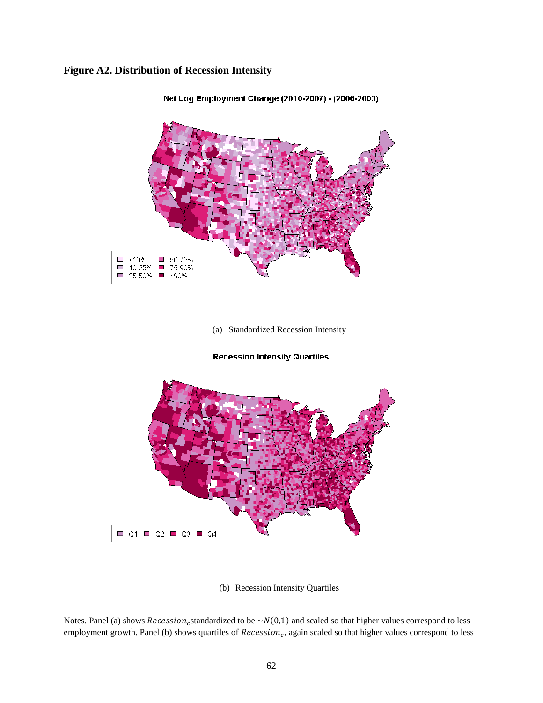### **Figure A2. Distribution of Recession Intensity**



Net Log Employment Change (2010-2007) - (2006-2003)

(a) Standardized Recession Intensity

#### **Recession Intensity Quartiles**



(b) Recession Intensity Quartiles

Notes. Panel (a) shows  $Recession_c$ standardized to be  $\sim N(0,1)$  and scaled so that higher values correspond to less employment growth. Panel (b) shows quartiles of  $Recession<sub>c</sub>$ , again scaled so that higher values correspond to less